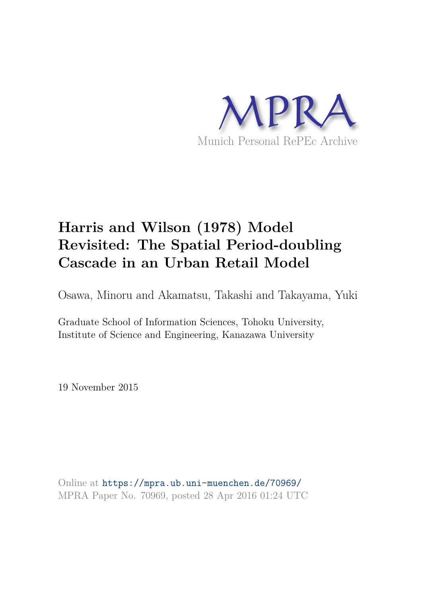

# **Harris and Wilson (1978) Model Revisited: The Spatial Period-doubling Cascade in an Urban Retail Model**

Osawa, Minoru and Akamatsu, Takashi and Takayama, Yuki

Graduate School of Information Sciences, Tohoku University, Institute of Science and Engineering, Kanazawa University

19 November 2015

Online at https://mpra.ub.uni-muenchen.de/70969/ MPRA Paper No. 70969, posted 28 Apr 2016 01:24 UTC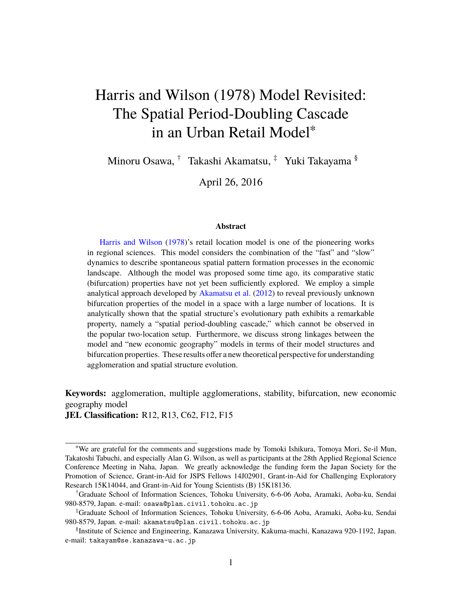# Harris and Wilson (1978) Model Revisited: The Spatial Period-Doubling Cascade in an Urban Retail Model<sup>∗</sup>

Minoru Osawa, † Takashi Akamatsu, ‡ Yuki Takayama §

April 26, 2016

#### **Abstract**

Harris and Wilson (1978)'s retail location model is one of the pioneering works in regional sciences. This model considers the combination of the "fast" and "slow" dynamics to describe spontaneous spatial pattern formation processes in the economic landscape. Although the model was proposed some time ago, its comparative static (bifurcation) properties have not yet been sufficiently explored. We employ a simple analytical approach developed by Akamatsu et al. (2012) to reveal previously unknown bifurcation properties of the model in a space with a large number of locations. It is analytically shown that the spatial structure's evolutionary path exhibits a remarkable property, namely a "spatial period-doubling cascade," which cannot be observed in the popular two-location setup. Furthermore, we discuss strong linkages between the model and "new economic geography" models in terms of their model structures and bifurcation properties. These results offer a new theoretical perspective for understanding agglomeration and spatial structure evolution.

**Keywords:** agglomeration, multiple agglomerations, stability, bifurcation, new economic geography model **JEL Classification:** R12, R13, C62, F12, F15

<sup>∗</sup>We are grateful for the comments and suggestions made by Tomoki Ishikura, Tomoya Mori, Se-il Mun, Takatoshi Tabuchi, and especially Alan G. Wilson, as well as participants at the 28th Applied Regional Science Conference Meeting in Naha, Japan. We greatly acknowledge the funding form the Japan Society for the Promotion of Science, Grant-in-Aid for JSPS Fellows 14J02901, Grant-in-Aid for Challenging Exploratory Research 15K14044, and Grant-in-Aid for Young Scientists (B) 15K18136.

<sup>†</sup>Graduate School of Information Sciences, Tohoku University, 6-6-06 Aoba, Aramaki, Aoba-ku, Sendai 980-8579, Japan. e-mail: osawa@plan.civil.tohoku.ac.jp

<sup>‡</sup>Graduate School of Information Sciences, Tohoku University, 6-6-06 Aoba, Aramaki, Aoba-ku, Sendai 980-8579, Japan. e-mail: akamatsu@plan.civil.tohoku.ac.jp

<sup>§</sup> Institute of Science and Engineering, Kanazawa University, Kakuma-machi, Kanazawa 920-1192, Japan. e-mail: takayam@se.kanazawa-u.ac.jp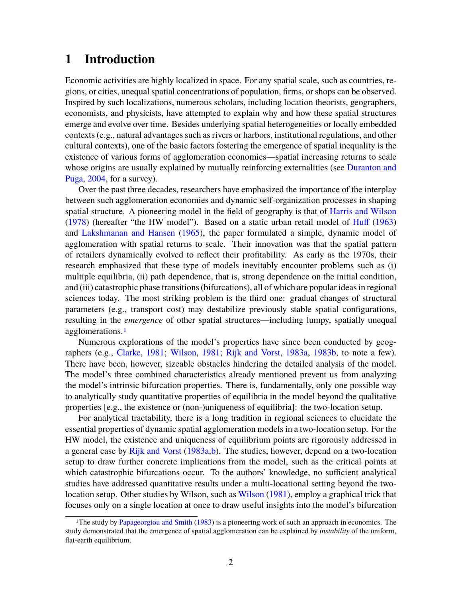# **1 Introduction**

Economic activities are highly localized in space. For any spatial scale, such as countries, regions, or cities, unequal spatial concentrations of population, firms, or shops can be observed. Inspired by such localizations, numerous scholars, including location theorists, geographers, economists, and physicists, have attempted to explain why and how these spatial structures emerge and evolve over time. Besides underlying spatial heterogeneities or locally embedded contexts (e.g., natural advantages such as rivers or harbors, institutional regulations, and other cultural contexts), one of the basic factors fostering the emergence of spatial inequality is the existence of various forms of agglomeration economies—spatial increasing returns to scale whose origins are usually explained by mutually reinforcing externalities (see Duranton and Puga, 2004, for a survey).

Over the past three decades, researchers have emphasized the importance of the interplay between such agglomeration economies and dynamic self-organization processes in shaping spatial structure. A pioneering model in the field of geography is that of Harris and Wilson (1978) (hereafter "the HW model"). Based on a static urban retail model of Huff (1963) and Lakshmanan and Hansen (1965), the paper formulated a simple, dynamic model of agglomeration with spatial returns to scale. Their innovation was that the spatial pattern of retailers dynamically evolved to reflect their profitability. As early as the 1970s, their research emphasized that these type of models inevitably encounter problems such as (i) multiple equilibria, (ii) path dependence, that is, strong dependence on the initial condition, and (iii) catastrophic phase transitions (bifurcations), all of which are popular ideas in regional sciences today. The most striking problem is the third one: gradual changes of structural parameters (e.g., transport cost) may destabilize previously stable spatial configurations, resulting in the *emergence* of other spatial structures—including lumpy, spatially unequal agglomerations.1

Numerous explorations of the model's properties have since been conducted by geographers (e.g., Clarke, 1981; Wilson, 1981; Rijk and Vorst, 1983a, 1983b, to note a few). There have been, however, sizeable obstacles hindering the detailed analysis of the model. The model's three combined characteristics already mentioned prevent us from analyzing the model's intrinsic bifurcation properties. There is, fundamentally, only one possible way to analytically study quantitative properties of equilibria in the model beyond the qualitative properties [e.g., the existence or (non-)uniqueness of equilibria]: the two-location setup.

For analytical tractability, there is a long tradition in regional sciences to elucidate the essential properties of dynamic spatial agglomeration models in a two-location setup. For the HW model, the existence and uniqueness of equilibrium points are rigorously addressed in a general case by Rijk and Vorst (1983a,b). The studies, however, depend on a two-location setup to draw further concrete implications from the model, such as the critical points at which catastrophic bifurcations occur. To the authors' knowledge, no sufficient analytical studies have addressed quantitative results under a multi-locational setting beyond the twolocation setup. Other studies by Wilson, such as Wilson (1981), employ a graphical trick that focuses only on a single location at once to draw useful insights into the model's bifurcation

<sup>&</sup>lt;sup>1</sup>The study by Papageorgiou and Smith (1983) is a pioneering work of such an approach in economics. The study demonstrated that the emergence of spatial agglomeration can be explained by *instability* of the uniform, flat-earth equilibrium.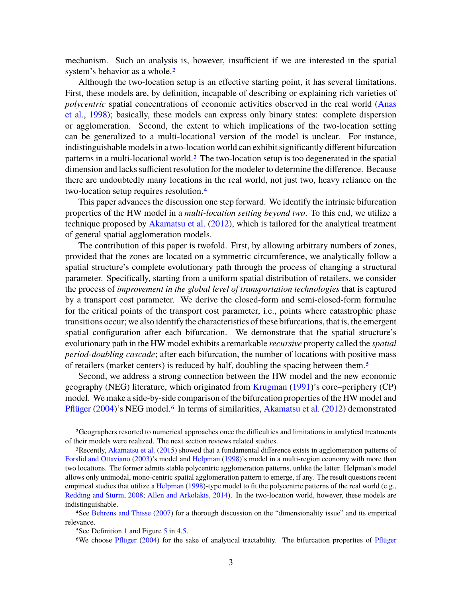mechanism. Such an analysis is, however, insufficient if we are interested in the spatial system's behavior as a whole.<sup>2</sup>

Although the two-location setup is an effective starting point, it has several limitations. First, these models are, by definition, incapable of describing or explaining rich varieties of *polycentric* spatial concentrations of economic activities observed in the real world (Anas et al., 1998); basically, these models can express only binary states: complete dispersion or agglomeration. Second, the extent to which implications of the two-location setting can be generalized to a multi-locational version of the model is unclear. For instance, indistinguishable models in a two-location world can exhibit significantly different bifurcation patterns in a multi-locational world.3 The two-location setup is too degenerated in the spatial dimension and lacks sufficient resolution for the modeler to determine the difference. Because there are undoubtedly many locations in the real world, not just two, heavy reliance on the two-location setup requires resolution.4

This paper advances the discussion one step forward. We identify the intrinsic bifurcation properties of the HW model in a *multi-location setting beyond two*. To this end, we utilize a technique proposed by Akamatsu et al. (2012), which is tailored for the analytical treatment of general spatial agglomeration models.

The contribution of this paper is twofold. First, by allowing arbitrary numbers of zones, provided that the zones are located on a symmetric circumference, we analytically follow a spatial structure's complete evolutionary path through the process of changing a structural parameter. Specifically, starting from a uniform spatial distribution of retailers, we consider the process of *improvement in the global level of transportation technologies* that is captured by a transport cost parameter. We derive the closed-form and semi-closed-form formulae for the critical points of the transport cost parameter, i.e., points where catastrophic phase transitions occur; we also identify the characteristics of these bifurcations, that is, the emergent spatial configuration after each bifurcation. We demonstrate that the spatial structure's evolutionary path in the HW model exhibits a remarkable *recursive* property called the *spatial period-doubling cascade*; after each bifurcation, the number of locations with positive mass of retailers (market centers) is reduced by half, doubling the spacing between them.5

Second, we address a strong connection between the HW model and the new economic geography (NEG) literature, which originated from Krugman (1991)'s core–periphery (CP) model. We make a side-by-side comparison of the bifurcation properties of the HW model and Pflüger (2004)'s NEG model.<sup>6</sup> In terms of similarities, Akamatsu et al. (2012) demonstrated

<sup>2</sup>Geographers resorted to numerical approaches once the difficulties and limitations in analytical treatments of their models were realized. The next section reviews related studies.

<sup>3</sup>Recently, Akamatsu et al. (2015) showed that a fundamental difference exists in agglomeration patterns of Forslid and Ottaviano (2003)'s model and Helpman (1998)'s model in a multi-region economy with more than two locations. The former admits stable polycentric agglomeration patterns, unlike the latter. Helpman's model allows only unimodal, mono-centric spatial agglomeration pattern to emerge, if any. The result questions recent empirical studies that utilize a Helpman (1998)-type model to fit the polycentric patterns of the real world (e.g., Redding and Sturm, 2008; Allen and Arkolakis, 2014). In the two-location world, however, these models are indistinguishable.

<sup>4</sup>See Behrens and Thisse (2007) for a thorough discussion on the "dimensionality issue" and its empirical relevance.

<sup>5</sup>See Definition 1 and Figure 5 in 4.5.

<sup>6</sup>We choose Pflüger (2004) for the sake of analytical tractability. The bifurcation properties of Pflüger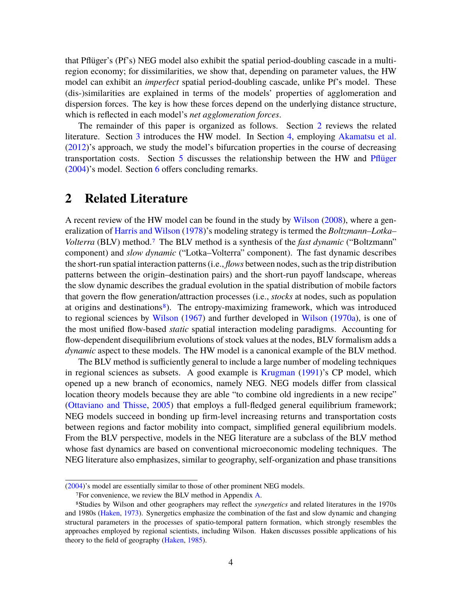that Pflüger's (Pf's) NEG model also exhibit the spatial period-doubling cascade in a multiregion economy; for dissimilarities, we show that, depending on parameter values, the HW model can exhibit an *imperfect* spatial period-doubling cascade, unlike Pf's model. These (dis-)similarities are explained in terms of the models' properties of agglomeration and dispersion forces. The key is how these forces depend on the underlying distance structure, which is reflected in each model's *net agglomeration forces*.

The remainder of this paper is organized as follows. Section 2 reviews the related literature. Section 3 introduces the HW model. In Section 4, employing Akamatsu et al. (2012)'s approach, we study the model's bifurcation properties in the course of decreasing transportation costs. Section 5 discusses the relationship between the HW and Pflüger (2004)'s model. Section 6 offers concluding remarks.

## **2 Related Literature**

A recent review of the HW model can be found in the study by Wilson (2008), where a generalization of Harris and Wilson (1978)'s modeling strategy is termed the *Boltzmann–Lotka– Volterra* (BLV) method.7 The BLV method is a synthesis of the *fast dynamic* ("Boltzmann" component) and *slow dynamic* ("Lotka–Volterra" component). The fast dynamic describes the short-run spatial interaction patterns (i.e., *flows* between nodes, such as the trip distribution patterns between the origin–destination pairs) and the short-run payoff landscape, whereas the slow dynamic describes the gradual evolution in the spatial distribution of mobile factors that govern the flow generation/attraction processes (i.e., *stocks* at nodes, such as population at origins and destinations8). The entropy-maximizing framework, which was introduced to regional sciences by Wilson (1967) and further developed in Wilson (1970a), is one of the most unified flow-based *static* spatial interaction modeling paradigms. Accounting for flow-dependent disequilibrium evolutions of stock values at the nodes, BLV formalism adds a *dynamic* aspect to these models. The HW model is a canonical example of the BLV method.

The BLV method is sufficiently general to include a large number of modeling techniques in regional sciences as subsets. A good example is Krugman (1991)'s CP model, which opened up a new branch of economics, namely NEG. NEG models differ from classical location theory models because they are able "to combine old ingredients in a new recipe" (Ottaviano and Thisse, 2005) that employs a full-fledged general equilibrium framework; NEG models succeed in bonding up firm-level increasing returns and transportation costs between regions and factor mobility into compact, simplified general equilibrium models. From the BLV perspective, models in the NEG literature are a subclass of the BLV method whose fast dynamics are based on conventional microeconomic modeling techniques. The NEG literature also emphasizes, similar to geography, self-organization and phase transitions

<sup>(2004)&#</sup>x27;s model are essentially similar to those of other prominent NEG models.

<sup>7</sup>For convenience, we review the BLV method in Appendix A.

<sup>8</sup>Studies by Wilson and other geographers may reflect the *synergetics* and related literatures in the 1970s and 1980s (Haken, 1973). Synergetics emphasize the combination of the fast and slow dynamic and changing structural parameters in the processes of spatio-temporal pattern formation, which strongly resembles the approaches employed by regional scientists, including Wilson. Haken discusses possible applications of his theory to the field of geography (Haken, 1985).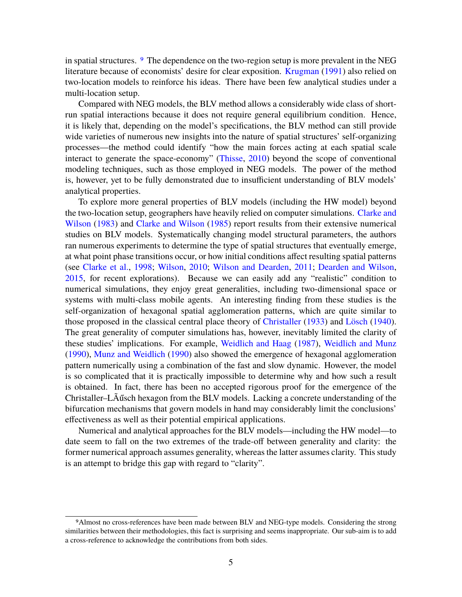in spatial structures. 9 The dependence on the two-region setup is more prevalent in the NEG literature because of economists' desire for clear exposition. Krugman (1991) also relied on two-location models to reinforce his ideas. There have been few analytical studies under a multi-location setup.

Compared with NEG models, the BLV method allows a considerably wide class of shortrun spatial interactions because it does not require general equilibrium condition. Hence, it is likely that, depending on the model's specifications, the BLV method can still provide wide varieties of numerous new insights into the nature of spatial structures' self-organizing processes—the method could identify "how the main forces acting at each spatial scale interact to generate the space-economy" (Thisse, 2010) beyond the scope of conventional modeling techniques, such as those employed in NEG models. The power of the method is, however, yet to be fully demonstrated due to insufficient understanding of BLV models' analytical properties.

To explore more general properties of BLV models (including the HW model) beyond the two-location setup, geographers have heavily relied on computer simulations. Clarke and Wilson (1983) and Clarke and Wilson (1985) report results from their extensive numerical studies on BLV models. Systematically changing model structural parameters, the authors ran numerous experiments to determine the type of spatial structures that eventually emerge, at what point phase transitions occur, or how initial conditions affect resulting spatial patterns (see Clarke et al., 1998; Wilson, 2010; Wilson and Dearden, 2011; Dearden and Wilson, 2015, for recent explorations). Because we can easily add any "realistic" condition to numerical simulations, they enjoy great generalities, including two-dimensional space or systems with multi-class mobile agents. An interesting finding from these studies is the self-organization of hexagonal spatial agglomeration patterns, which are quite similar to those proposed in the classical central place theory of Christaller (1933) and Lösch (1940). The great generality of computer simulations has, however, inevitably limited the clarity of these studies' implications. For example, Weidlich and Haag (1987), Weidlich and Munz (1990), Munz and Weidlich (1990) also showed the emergence of hexagonal agglomeration pattern numerically using a combination of the fast and slow dynamic. However, the model is so complicated that it is practically impossible to determine why and how such a result is obtained. In fact, there has been no accepted rigorous proof for the emergence of the Christaller–LÃűsch hexagon from the BLV models. Lacking a concrete understanding of the bifurcation mechanisms that govern models in hand may considerably limit the conclusions' effectiveness as well as their potential empirical applications.

Numerical and analytical approaches for the BLV models—including the HW model—to date seem to fall on the two extremes of the trade-off between generality and clarity: the former numerical approach assumes generality, whereas the latter assumes clarity. This study is an attempt to bridge this gap with regard to "clarity".

<sup>9</sup>Almost no cross-references have been made between BLV and NEG-type models. Considering the strong similarities between their methodologies, this fact is surprising and seems inappropriate. Our sub-aim is to add a cross-reference to acknowledge the contributions from both sides.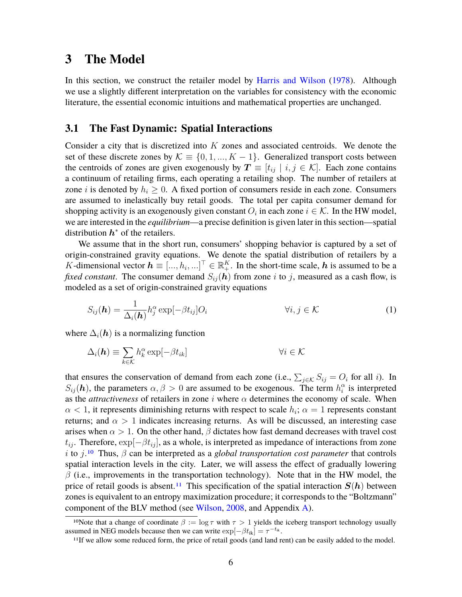# **3 The Model**

In this section, we construct the retailer model by Harris and Wilson (1978). Although we use a slightly different interpretation on the variables for consistency with the economic literature, the essential economic intuitions and mathematical properties are unchanged.

#### **3.1 The Fast Dynamic: Spatial Interactions**

Consider a city that is discretized into *K* zones and associated centroids. We denote the set of these discrete zones by  $\mathcal{K} \equiv \{0, 1, ..., K - 1\}$ . Generalized transport costs between the centroids of zones are given exogenously by  $T \equiv [t_{ij} \mid i, j \in \mathcal{K}]$ . Each zone contains a continuum of retailing firms, each operating a retailing shop. The number of retailers at zone *i* is denoted by  $h_i \geq 0$ . A fixed portion of consumers reside in each zone. Consumers are assumed to inelastically buy retail goods. The total per capita consumer demand for shopping activity is an exogenously given constant  $O_i$  in each zone  $i \in \mathcal{K}$ . In the HW model, we are interested in the *equilibrium*—a precise definition is given later in this section—spatial distribution  $h^*$  of the retailers.

We assume that in the short run, consumers' shopping behavior is captured by a set of origin-constrained gravity equations. We denote the spatial distribution of retailers by a *K*-dimensional vector  $h \equiv [..., h_i,...]^\top \in \mathbb{R}^K_+$ . In the short-time scale, h is assumed to be a *fixed constant*. The consumer demand  $S_{ij}(\mathbf{h})$  from zone *i* to *j*, measured as a cash flow, is modeled as a set of origin-constrained gravity equations

$$
S_{ij}(\boldsymbol{h}) = \frac{1}{\Delta_i(\boldsymbol{h})} h_j^{\alpha} \exp[-\beta t_{ij}] O_i \qquad \forall i, j \in \mathcal{K}
$$
 (1)

where  $\Delta_i(h)$  is a normalizing function

$$
\Delta_i(\mathbf{h}) \equiv \sum_{k \in \mathcal{K}} h_k^{\alpha} \exp[-\beta t_{ik}] \qquad \forall i \in \mathcal{K}
$$

that ensures the conservation of demand from each zone (i.e.,  $\sum_{j \in \mathcal{K}} S_{ij} = O_i$  for all *i*). In  $S_{ij}(\mathbf{h})$ , the parameters  $\alpha, \beta > 0$  are assumed to be exogenous. The term  $h_i^{\alpha}$  is interpreted as the *attractiveness* of retailers in zone *i* where *α* determines the economy of scale. When  $\alpha$  < 1, it represents diminishing returns with respect to scale  $h_i$ ;  $\alpha = 1$  represents constant returns; and  $\alpha > 1$  indicates increasing returns. As will be discussed, an interesting case arises when  $\alpha > 1$ . On the other hand,  $\beta$  dictates how fast demand decreases with travel cost  $t_{ij}$ . Therefore,  $\exp[-\beta t_{ij}]$ , as a whole, is interpreted as impedance of interactions from zone *i* to *j*.10 Thus, *β* can be interpreted as a *global transportation cost parameter* that controls spatial interaction levels in the city. Later, we will assess the effect of gradually lowering *β* (i.e., improvements in the transportation technology). Note that in the HW model, the price of retail goods is absent.<sup>11</sup> This specification of the spatial interaction  $S(h)$  between zones is equivalent to an entropy maximization procedure; it corresponds to the "Boltzmann" component of the BLV method (see Wilson, 2008, and Appendix A).

<sup>&</sup>lt;sup>10</sup>Note that a change of coordinate  $\beta := \log \tau$  with  $\tau > 1$  yields the iceberg transport technology usually assumed in NEG models because then we can write  $\exp[-\beta t_{ik}] = \tau^{-t_{ik}}$ .

<sup>11</sup>If we allow some reduced form, the price of retail goods (and land rent) can be easily added to the model.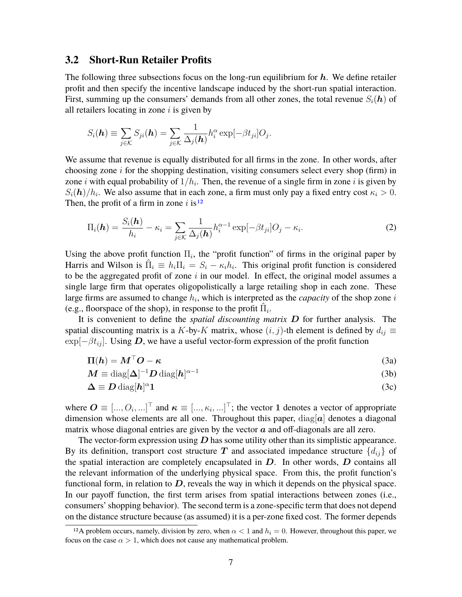#### **3.2 Short-Run Retailer Profits**

The following three subsections focus on the long-run equilibrium for  $h$ . We define retailer profit and then specify the incentive landscape induced by the short-run spatial interaction. First, summing up the consumers' demands from all other zones, the total revenue  $S_i(h)$  of all retailers locating in zone *i* is given by

$$
S_i(\mathbf{h}) \equiv \sum_{j \in \mathcal{K}} S_{ji}(\mathbf{h}) = \sum_{j \in \mathcal{K}} \frac{1}{\Delta_j(\mathbf{h})} h_i^{\alpha} \exp[-\beta t_{ji}] O_j.
$$

We assume that revenue is equally distributed for all firms in the zone. In other words, after choosing zone *i* for the shopping destination, visiting consumers select every shop (firm) in zone *i* with equal probability of 1*/h<sup>i</sup>* . Then, the revenue of a single firm in zone *i* is given by  $S_i(\mathbf{h})/h_i$ . We also assume that in each zone, a firm must only pay a fixed entry cost  $\kappa_i > 0$ . Then, the profit of a firm in zone  $i$  is<sup>12</sup>

$$
\Pi_i(\boldsymbol{h}) = \frac{S_i(\boldsymbol{h})}{h_i} - \kappa_i = \sum_{j \in \mathcal{K}} \frac{1}{\Delta_j(\boldsymbol{h})} h_i^{\alpha - 1} \exp[-\beta t_{ji}] O_j - \kappa_i.
$$
\n(2)

Using the above profit function  $\Pi_i$ , the "profit function" of firms in the original paper by Harris and Wilson is  $\hat{\Pi}_i \equiv h_i \Pi_i = S_i - \kappa_i h_i$ . This original profit function is considered to be the aggregated profit of zone *i* in our model. In effect, the original model assumes a single large firm that operates oligopolistically a large retailing shop in each zone. These large firms are assumed to change *h<sup>i</sup>* , which is interpreted as the *capacity* of the shop zone *i* (e.g., floorspace of the shop), in response to the profit  $\hat{\Pi}_i$ .

It is convenient to define the *spatial discounting matrix* D for further analysis. The spatial discounting matrix is a *K*-by-*K* matrix, whose  $(i, j)$ -th element is defined by  $d_{ij} \equiv$  $\exp[-\beta t_{ij}]$ . Using D, we have a useful vector-form expression of the profit function

$$
\Pi(h) = \boldsymbol{M}^\top \boldsymbol{O} - \boldsymbol{\kappa} \tag{3a}
$$

$$
M \equiv \text{diag}[\Delta]^{-1} D \text{ diag}[h]^{\alpha - 1}
$$
 (3b)

$$
\Delta \equiv D \operatorname{diag}[h]^{\alpha} 1 \tag{3c}
$$

where  $\mathbf{O} \equiv [..., O_i, ...]^{\top}$  and  $\boldsymbol{\kappa} \equiv [..., \kappa_i, ...]^{\top}$ ; the vector 1 denotes a vector of appropriate dimension whose elements are all one. Throughout this paper,  $diag[a]$  denotes a diagonal matrix whose diagonal entries are given by the vector  $\alpha$  and off-diagonals are all zero.

The vector-form expression using  $D$  has some utility other than its simplistic appearance. By its definition, transport cost structure T and associated impedance structure  $\{d_{ij}\}$  of the spatial interaction are completely encapsulated in  $D$ . In other words,  $D$  contains all the relevant information of the underlying physical space. From this, the profit function's functional form, in relation to  $D$ , reveals the way in which it depends on the physical space. In our payoff function, the first term arises from spatial interactions between zones (i.e., consumers' shopping behavior). The second term is a zone-specific term that does not depend on the distance structure because (as assumed) it is a per-zone fixed cost. The former depends

<sup>&</sup>lt;sup>12</sup>A problem occurs, namely, division by zero, when  $\alpha$  < 1 and  $h_i = 0$ . However, throughout this paper, we focus on the case  $\alpha > 1$ , which does not cause any mathematical problem.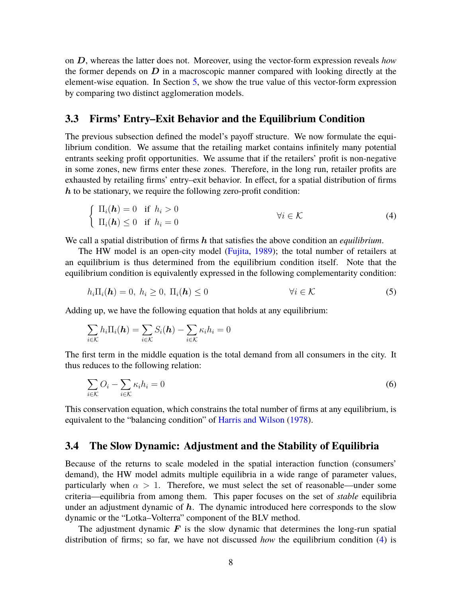on D, whereas the latter does not. Moreover, using the vector-form expression reveals *how* the former depends on  $D$  in a macroscopic manner compared with looking directly at the element-wise equation. In Section 5, we show the true value of this vector-form expression by comparing two distinct agglomeration models.

#### **3.3 Firms' Entry–Exit Behavior and the Equilibrium Condition**

The previous subsection defined the model's payoff structure. We now formulate the equilibrium condition. We assume that the retailing market contains infinitely many potential entrants seeking profit opportunities. We assume that if the retailers' profit is non-negative in some zones, new firms enter these zones. Therefore, in the long run, retailer profits are exhausted by retailing firms' entry–exit behavior. In effect, for a spatial distribution of firms  $h$  to be stationary, we require the following zero-profit condition:

$$
\begin{cases} \Pi_i(\mathbf{h}) = 0 & \text{if } h_i > 0 \\ \Pi_i(\mathbf{h}) \le 0 & \text{if } h_i = 0 \end{cases} \qquad \forall i \in \mathcal{K} \tag{4}
$$

We call a spatial distribution of firms h that satisfies the above condition an *equilibrium*.

The HW model is an open-city model (Fujita, 1989); the total number of retailers at an equilibrium is thus determined from the equilibrium condition itself. Note that the equilibrium condition is equivalently expressed in the following complementarity condition:

$$
h_i\Pi_i(\mathbf{h}) = 0, \ h_i \ge 0, \ \Pi_i(\mathbf{h}) \le 0 \qquad \forall i \in \mathcal{K} \tag{5}
$$

Adding up, we have the following equation that holds at any equilibrium:

$$
\sum_{i \in \mathcal{K}} h_i \Pi_i(\mathbf{h}) = \sum_{i \in \mathcal{K}} S_i(\mathbf{h}) - \sum_{i \in \mathcal{K}} \kappa_i h_i = 0
$$

The first term in the middle equation is the total demand from all consumers in the city. It thus reduces to the following relation:

$$
\sum_{i \in \mathcal{K}} O_i - \sum_{i \in \mathcal{K}} \kappa_i h_i = 0 \tag{6}
$$

This conservation equation, which constrains the total number of firms at any equilibrium, is equivalent to the "balancing condition" of Harris and Wilson (1978).

#### **3.4 The Slow Dynamic: Adjustment and the Stability of Equilibria**

Because of the returns to scale modeled in the spatial interaction function (consumers' demand), the HW model admits multiple equilibria in a wide range of parameter values, particularly when  $\alpha > 1$ . Therefore, we must select the set of reasonable—under some criteria—equilibria from among them. This paper focuses on the set of *stable* equilibria under an adjustment dynamic of  $h$ . The dynamic introduced here corresponds to the slow dynamic or the "Lotka–Volterra" component of the BLV method.

The adjustment dynamic  $\boldsymbol{F}$  is the slow dynamic that determines the long-run spatial distribution of firms; so far, we have not discussed *how* the equilibrium condition (4) is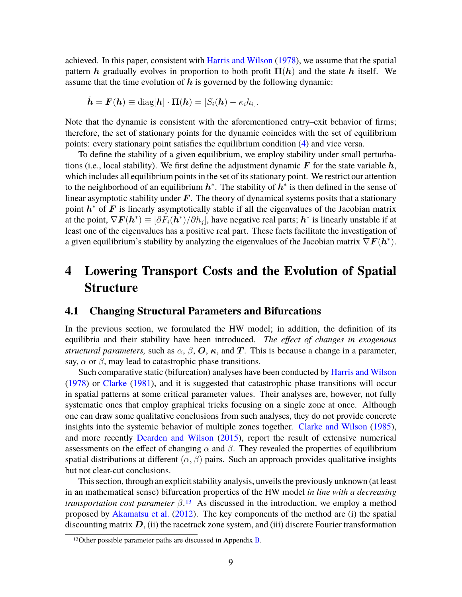achieved. In this paper, consistent with Harris and Wilson (1978), we assume that the spatial pattern h gradually evolves in proportion to both profit  $\Pi(h)$  and the state h itself. We assume that the time evolution of  $h$  is governed by the following dynamic:

$$
\dot{\boldsymbol{h}} = \boldsymbol{F}(\boldsymbol{h}) \equiv \text{diag}[\boldsymbol{h}] \cdot \boldsymbol{\Pi}(\boldsymbol{h}) = [S_i(\boldsymbol{h}) - \kappa_i h_i].
$$

Note that the dynamic is consistent with the aforementioned entry–exit behavior of firms; therefore, the set of stationary points for the dynamic coincides with the set of equilibrium points: every stationary point satisfies the equilibrium condition (4) and vice versa.

To define the stability of a given equilibrium, we employ stability under small perturbations (i.e., local stability). We first define the adjustment dynamic  $\bm{F}$  for the state variable  $\bm{h}$ , which includes all equilibrium points in the set of its stationary point. We restrict our attention to the neighborhood of an equilibrium  $h^*$ . The stability of  $h^*$  is then defined in the sense of linear asymptotic stability under  $F$ . The theory of dynamical systems posits that a stationary point  $h^*$  of  $F$  is linearly asymptotically stable if all the eigenvalues of the Jacobian matrix at the point,  $\nabla F(h^*) \equiv [\partial F_i(h^*)/\partial h_j]$ , have negative real parts;  $h^*$  is linearly unstable if at least one of the eigenvalues has a positive real part. These facts facilitate the investigation of a given equilibrium's stability by analyzing the eigenvalues of the Jacobian matrix  $\nabla \boldsymbol{F}(\boldsymbol{h}^*)$ .

# **4 Lowering Transport Costs and the Evolution of Spatial Structure**

#### **4.1 Changing Structural Parameters and Bifurcations**

In the previous section, we formulated the HW model; in addition, the definition of its equilibria and their stability have been introduced. *The effect of changes in exogenous structural parameters,* such as  $\alpha$ ,  $\beta$ ,  $\boldsymbol{O}$ ,  $\boldsymbol{\kappa}$ , and  $\boldsymbol{T}$ . This is because a change in a parameter, say,  $\alpha$  or  $\beta$ , may lead to catastrophic phase transitions.

Such comparative static (bifurcation) analyses have been conducted by Harris and Wilson (1978) or Clarke (1981), and it is suggested that catastrophic phase transitions will occur in spatial patterns at some critical parameter values. Their analyses are, however, not fully systematic ones that employ graphical tricks focusing on a single zone at once. Although one can draw some qualitative conclusions from such analyses, they do not provide concrete insights into the systemic behavior of multiple zones together. Clarke and Wilson (1985), and more recently Dearden and Wilson (2015), report the result of extensive numerical assessments on the effect of changing  $\alpha$  and  $\beta$ . They revealed the properties of equilibrium spatial distributions at different  $(\alpha, \beta)$  pairs. Such an approach provides qualitative insights but not clear-cut conclusions.

This section, through an explicit stability analysis, unveils the previously unknown (at least in an mathematical sense) bifurcation properties of the HW model *in line with a decreasing transportation cost parameter*  $\beta$ .<sup>13</sup> As discussed in the introduction, we employ a method proposed by Akamatsu et al. (2012). The key components of the method are (i) the spatial discounting matrix  $D$ , (ii) the racetrack zone system, and (iii) discrete Fourier transformation

<sup>&</sup>lt;sup>13</sup>Other possible parameter paths are discussed in Appendix  $\overline{B}$ .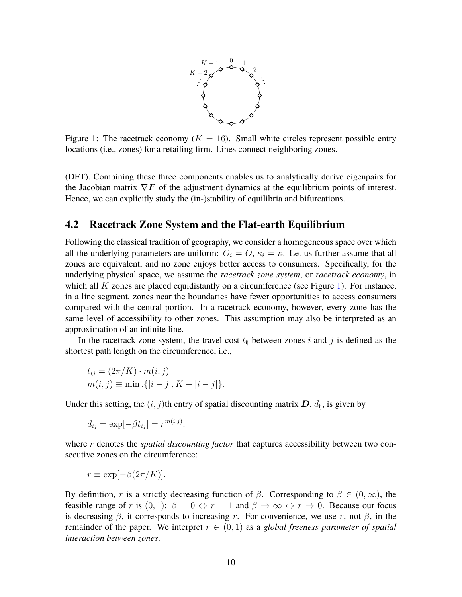

Figure 1: The racetrack economy  $(K = 16)$ . Small white circles represent possible entry locations (i.e., zones) for a retailing firm. Lines connect neighboring zones.

(DFT). Combining these three components enables us to analytically derive eigenpairs for the Jacobian matrix  $\nabla F$  of the adjustment dynamics at the equilibrium points of interest. Hence, we can explicitly study the (in-)stability of equilibria and bifurcations.

#### **4.2 Racetrack Zone System and the Flat-earth Equilibrium**

Following the classical tradition of geography, we consider a homogeneous space over which all the underlying parameters are uniform:  $O_i = O$ ,  $\kappa_i = \kappa$ . Let us further assume that all zones are equivalent, and no zone enjoys better access to consumers. Specifically, for the underlying physical space, we assume the *racetrack zone system*, or *racetrack economy*, in which all *K* zones are placed equidistantly on a circumference (see Figure 1). For instance, in a line segment, zones near the boundaries have fewer opportunities to access consumers compared with the central portion. In a racetrack economy, however, every zone has the same level of accessibility to other zones. This assumption may also be interpreted as an approximation of an infinite line.

In the racetrack zone system, the travel cost  $t_{ij}$  between zones  $i$  and  $j$  is defined as the shortest path length on the circumference, i.e.,

$$
t_{ij} = (2\pi/K) \cdot m(i, j)
$$
  
 
$$
m(i, j) \equiv \min \{ |i - j|, K - |i - j| \}.
$$

Under this setting, the  $(i, j)$ th entry of spatial discounting matrix  $D$ ,  $d_{ii}$ , is given by

$$
d_{ij} = \exp[-\beta t_{ij}] = r^{m(i,j)},
$$

where *r* denotes the *spatial discounting factor* that captures accessibility between two consecutive zones on the circumference:

$$
r \equiv \exp[-\beta(2\pi/K)].
$$

By definition, *r* is a strictly decreasing function of *β*. Corresponding to  $β ∈ (0, ∞)$ , the feasible range of *r* is  $(0, 1)$ :  $\beta = 0 \Leftrightarrow r = 1$  and  $\beta \rightarrow \infty \Leftrightarrow r \rightarrow 0$ . Because our focus is decreasing  $\beta$ , it corresponds to increasing *r*. For convenience, we use *r*, not  $\beta$ , in the remainder of the paper. We interpret  $r \in (0,1)$  as a *global freeness parameter of spatial interaction between zones*.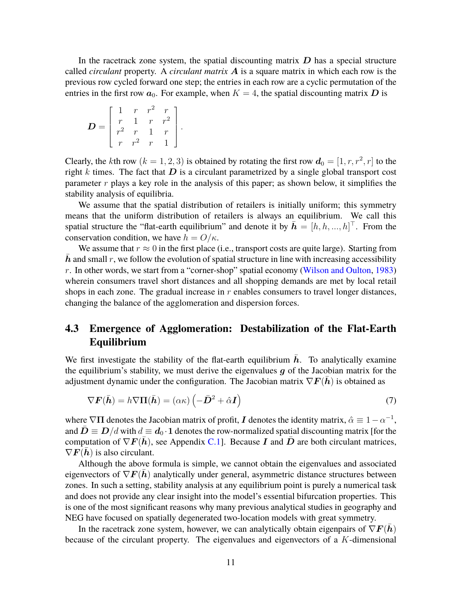In the racetrack zone system, the spatial discounting matrix  $D$  has a special structure called *circulant* property. A *circulant matrix* A is a square matrix in which each row is the previous row cycled forward one step; the entries in each row are a cyclic permutation of the entries in the first row  $a_0$ . For example, when  $K = 4$ , the spatial discounting matrix D is

$$
\boldsymbol{D} = \left[ \begin{array}{cccc} 1 & r & r^2 & r \\ r & 1 & r & r^2 \\ r^2 & r & 1 & r \\ r & r^2 & r & 1 \end{array} \right].
$$

Clearly, the *k*th row  $(k = 1, 2, 3)$  is obtained by rotating the first row  $d_0 = [1, r, r^2, r]$  to the right  $k$  times. The fact that  $D$  is a circulant parametrized by a single global transport cost parameter *r* plays a key role in the analysis of this paper; as shown below, it simplifies the stability analysis of equilibria.

We assume that the spatial distribution of retailers is initially uniform; this symmetry means that the uniform distribution of retailers is always an equilibrium. We call this spatial structure the "flat-earth equilibrium" and denote it by  $\bar{\bm{h}} = [h, h, ..., h]^\top$ . From the conservation condition, we have  $h = O/\kappa$ .

We assume that  $r \approx 0$  in the first place (i.e., transport costs are quite large). Starting from  $h$  and small  $r$ , we follow the evolution of spatial structure in line with increasing accessibility *r*. In other words, we start from a "corner-shop" spatial economy (Wilson and Oulton, 1983) wherein consumers travel short distances and all shopping demands are met by local retail shops in each zone. The gradual increase in *r* enables consumers to travel longer distances, changing the balance of the agglomeration and dispersion forces.

### **4.3 Emergence of Agglomeration: Destabilization of the Flat-Earth Equilibrium**

We first investigate the stability of the flat-earth equilibrium  $h$ . To analytically examine the equilibrium's stability, we must derive the eigenvalues  $g$  of the Jacobian matrix for the adjustment dynamic under the configuration. The Jacobian matrix  $\nabla F(\bar{h})$  is obtained as

$$
\nabla \boldsymbol{F}(\bar{\boldsymbol{h}}) = h \nabla \Pi(\bar{\boldsymbol{h}}) = (\alpha \kappa) \left( -\bar{\boldsymbol{D}}^2 + \hat{\alpha} \boldsymbol{I} \right)
$$
(7)

where  $\nabla\Pi$  denotes the Jacobian matrix of profit, *I* denotes the identity matrix,  $\hat{\alpha} \equiv 1 - \alpha^{-1}$ , and  $\mathbf{D} \equiv \mathbf{D}/d$  with  $d \equiv \mathbf{d}_0 \cdot \mathbf{1}$  denotes the row-normalized spatial discounting matrix [for the computation of  $\nabla F(h)$ , see Appendix C.1]. Because I and D are both circulant matrices,  $\nabla F(h)$  is also circulant.

Although the above formula is simple, we cannot obtain the eigenvalues and associated eigenvectors of  $\nabla F(h)$  analytically under general, asymmetric distance structures between zones. In such a setting, stability analysis at any equilibrium point is purely a numerical task and does not provide any clear insight into the model's essential bifurcation properties. This is one of the most significant reasons why many previous analytical studies in geography and NEG have focused on spatially degenerated two-location models with great symmetry.

In the racetrack zone system, however, we can analytically obtain eigenpairs of  $\nabla F(h)$ because of the circulant property. The eigenvalues and eigenvectors of a *K*-dimensional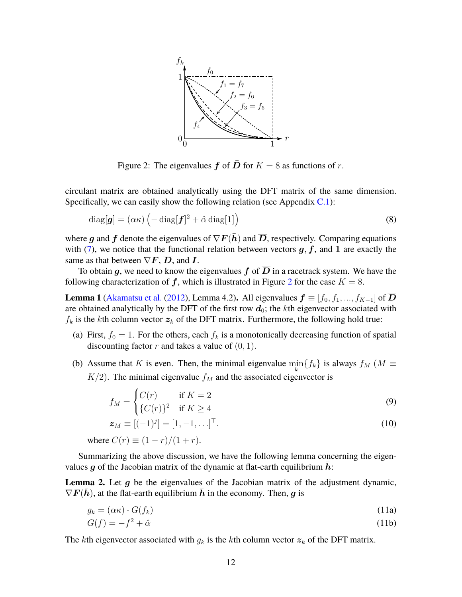

Figure 2: The eigenvalues  $f$  of  $D$  for  $K = 8$  as functions of  $r$ .

circulant matrix are obtained analytically using the DFT matrix of the same dimension. Specifically, we can easily show the following relation (see Appendix  $C<sub>1</sub>$ ):

$$
\text{diag}[\boldsymbol{g}] = (\alpha \kappa) \left( -\text{diag}[\boldsymbol{f}]^2 + \hat{\alpha} \text{diag}[\boldsymbol{1}] \right) \tag{8}
$$

where g and f denote the eigenvalues of  $\nabla F(\bar{h})$  and  $\overline{D}$ , respectively. Comparing equations with  $(7)$ , we notice that the functional relation between vectors  $g, f$ , and 1 are exactly the same as that between  $\nabla F$ ,  $\overline{D}$ , and  $\overline{I}$ .

To obtain g, we need to know the eigenvalues f of  $\overline{D}$  in a racetrack system. We have the following characterization of  $f$ , which is illustrated in Figure 2 for the case  $K = 8$ .

**Lemma 1** (Akamatsu et al. (2012), Lemma 4.2). All eigenvalues  $f \equiv [f_0, f_1, ..., f_{K-1}]$  of D are obtained analytically by the DFT of the first row  $d_0$ ; the *k*th eigenvector associated with  $f_k$  is the *k*th column vector  $z_k$  of the DFT matrix. Furthermore, the following hold true:

- (a) First,  $f_0 = 1$ . For the others, each  $f_k$  is a monotonically decreasing function of spatial discounting factor  $r$  and takes a value of  $(0, 1)$ .
- (b) Assume that *K* is even. Then, the minimal eigenvalue  $\min_{k} \{f_k\}$  is always  $f_M$  ( $M \equiv$  $K/2$ ). The minimal eigenvalue  $f_M$  and the associated eigenvector is

$$
f_M = \begin{cases} C(r) & \text{if } K = 2\\ \{C(r)\}^2 & \text{if } K \ge 4 \end{cases}
$$
 (9)

$$
z_M \equiv [(-1)^j] = [1, -1, \ldots]^\top. \tag{10}
$$

where  $C(r) \equiv (1 - r)/(1 + r)$ .

Summarizing the above discussion, we have the following lemma concerning the eigenvalues g of the Jacobian matrix of the dynamic at flat-earth equilibrium  $h$ :

**Lemma 2.** Let  $q$  be the eigenvalues of the Jacobian matrix of the adjustment dynamic,  $\nabla F(h)$ , at the flat-earth equilibrium h in the economy. Then, g is

$$
g_k = (\alpha \kappa) \cdot G(f_k) \tag{11a}
$$

$$
G(f) = -f^2 + \hat{\alpha} \tag{11b}
$$

The *k*th eigenvector associated with  $g_k$  is the *k*th column vector  $z_k$  of the DFT matrix.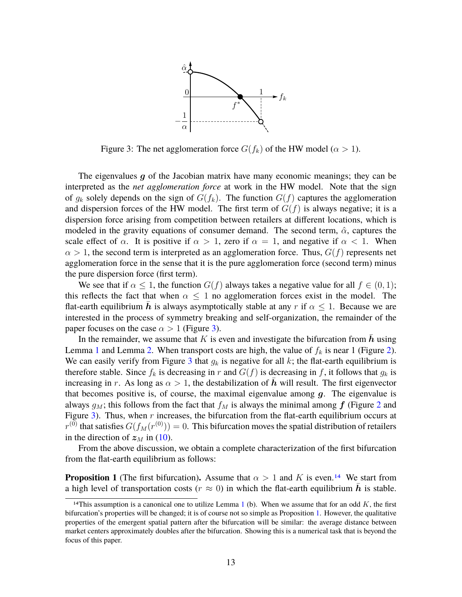

Figure 3: The net agglomeration force  $G(f_k)$  of the HW model ( $\alpha > 1$ ).

The eigenvalues  $g$  of the Jacobian matrix have many economic meanings; they can be interpreted as the *net agglomeration force* at work in the HW model. Note that the sign of  $g_k$  solely depends on the sign of  $G(f_k)$ . The function  $G(f)$  captures the agglomeration and dispersion forces of the HW model. The first term of  $G(f)$  is always negative; it is a dispersion force arising from competition between retailers at different locations, which is modeled in the gravity equations of consumer demand. The second term,  $\hat{\alpha}$ , captures the scale effect of  $\alpha$ . It is positive if  $\alpha > 1$ , zero if  $\alpha = 1$ , and negative if  $\alpha < 1$ . When  $\alpha > 1$ , the second term is interpreted as an agglomeration force. Thus,  $G(f)$  represents net agglomeration force in the sense that it is the pure agglomeration force (second term) minus the pure dispersion force (first term).

We see that if  $\alpha \leq 1$ , the function  $G(f)$  always takes a negative value for all  $f \in (0,1)$ ; this reflects the fact that when  $\alpha \leq 1$  no agglomeration forces exist in the model. The flat-earth equilibrium h is always asymptotically stable at any r if  $\alpha \leq 1$ . Because we are interested in the process of symmetry breaking and self-organization, the remainder of the paper focuses on the case  $\alpha > 1$  (Figure 3).

In the remainder, we assume that  $K$  is even and investigate the bifurcation from  $h$  using Lemma 1 and Lemma 2. When transport costs are high, the value of  $f_k$  is near 1 (Figure 2). We can easily verify from Figure 3 that  $g_k$  is negative for all  $k$ ; the flat-earth equilibrium is therefore stable. Since  $f_k$  is decreasing in  $r$  and  $G(f)$  is decreasing in  $f$ , it follows that  $g_k$  is increasing in *r*. As long as  $\alpha > 1$ , the destabilization of  $\bar{h}$  will result. The first eigenvector that becomes positive is, of course, the maximal eigenvalue among  $g$ . The eigenvalue is always  $g_M$ ; this follows from the fact that  $f_M$  is always the minimal among  $f$  (Figure 2 and Figure 3). Thus, when *r* increases, the bifurcation from the flat-earth equilibrium occurs at  $r^{(0)}$  that satisfies  $G(f_M(r^{(0)})) = 0.$  This bifurcation moves the spatial distribution of retailers in the direction of  $z_M$  in (10).

From the above discussion, we obtain a complete characterization of the first bifurcation from the flat-earth equilibrium as follows:

**Proposition 1** (The first bifurcation). Assume that  $\alpha > 1$  and K is even.<sup>14</sup> We start from a high level of transportation costs ( $r \approx 0$ ) in which the flat-earth equilibrium h is stable.

<sup>&</sup>lt;sup>14</sup>This assumption is a canonical one to utilize Lemma  $1$  (b). When we assume that for an odd  $K$ , the first bifurcation's properties will be changed; it is of course not so simple as Proposition 1. However, the qualitative properties of the emergent spatial pattern after the bifurcation will be similar: the average distance between market centers approximately doubles after the bifurcation. Showing this is a numerical task that is beyond the focus of this paper.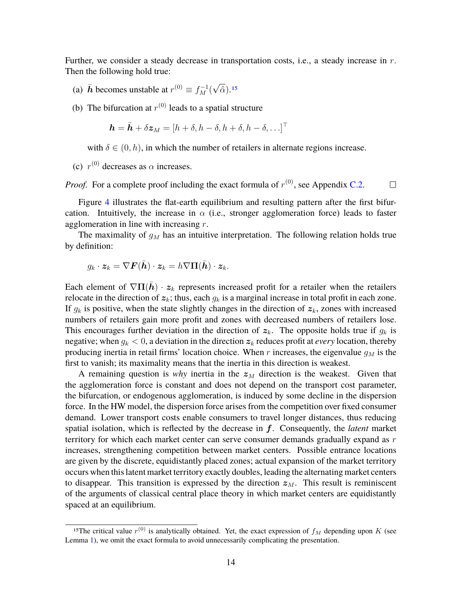Further, we consider a steady decrease in transportation costs, i.e., a steady increase in *r*. Then the following hold true:

- (a)  $\bar{h}$  becomes unstable at  $r^{(0)} \equiv f_M^{-1}(\sqrt{\hat{\alpha}})$ .<sup>15</sup>
- (b) The bifurcation at  $r^{(0)}$  leads to a spatial structure

$$
\boldsymbol{h} = \bar{\boldsymbol{h}} + \delta \boldsymbol{z}_M = [h + \delta, h - \delta, h + \delta, h - \delta, \ldots]^\top
$$

with  $\delta \in (0, h)$ , in which the number of retailers in alternate regions increase.

(c)  $r^{(0)}$  decreases as  $\alpha$  increases.

*Proof.* For a complete proof including the exact formula of  $r^{(0)}$ , see Appendix C.2.  $\Box$ 

Figure 4 illustrates the flat-earth equilibrium and resulting pattern after the first bifurcation. Intuitively, the increase in  $\alpha$  (i.e., stronger agglomeration force) leads to faster agglomeration in line with increasing *r*.

The maximality of *g<sup>M</sup>* has an intuitive interpretation. The following relation holds true by definition:

$$
g_k \cdot \boldsymbol{z}_k = \nabla \boldsymbol{F}(\bar{\boldsymbol{h}}) \cdot \boldsymbol{z}_k = h \nabla \boldsymbol{\Pi}(\bar{\boldsymbol{h}}) \cdot \boldsymbol{z}_k.
$$

Each element of  $\nabla \Pi(\bar{h}) \cdot z_k$  represents increased profit for a retailer when the retailers relocate in the direction of  $z_k$ ; thus, each  $g_k$  is a marginal increase in total profit in each zone. If  $g_k$  is positive, when the state slightly changes in the direction of  $z_k$ , zones with increased numbers of retailers gain more profit and zones with decreased numbers of retailers lose. This encourages further deviation in the direction of  $z_k$ . The opposite holds true if  $g_k$  is negative; when  $g_k < 0$ , a deviation in the direction  $z_k$  reduces profit at *every* location, thereby producing inertia in retail firms' location choice. When  $r$  increases, the eigenvalue  $q_M$  is the first to vanish; its maximality means that the inertia in this direction is weakest.

A remaining question is *why* inertia in the  $z_M$  direction is the weakest. Given that the agglomeration force is constant and does not depend on the transport cost parameter, the bifurcation, or endogenous agglomeration, is induced by some decline in the dispersion force. In the HW model, the dispersion force arises from the competition over fixed consumer demand. Lower transport costs enable consumers to travel longer distances, thus reducing spatial isolation, which is reflected by the decrease in f. Consequently, the *latent* market territory for which each market center can serve consumer demands gradually expand as *r* increases, strengthening competition between market centers. Possible entrance locations are given by the discrete, equidistantly placed zones; actual expansion of the market territory occurs when this latent market territory exactly doubles, leading the alternating market centers to disappear. This transition is expressed by the direction  $z_M$ . This result is reminiscent of the arguments of classical central place theory in which market centers are equidistantly spaced at an equilibrium.

<sup>&</sup>lt;sup>15</sup>The critical value  $r^{(0)}$  is analytically obtained. Yet, the exact expression of  $f_M$  depending upon *K* (see Lemma 1), we omit the exact formula to avoid unnecessarily complicating the presentation.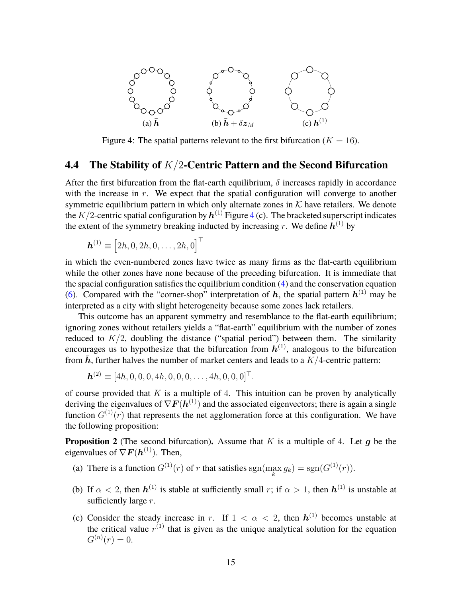

Figure 4: The spatial patterns relevant to the first bifurcation ( $K = 16$ ).

#### **4.4 The Stability of** *K/*2**-Centric Pattern and the Second Bifurcation**

After the first bifurcation from the flat-earth equilibrium,  $\delta$  increases rapidly in accordance with the increase in *r*. We expect that the spatial configuration will converge to another symmetric equilibrium pattern in which only alternate zones in  $K$  have retailers. We denote the  $K/2$ -centric spatial configuration by  $\bm{h}^{(1)}$  Figure 4 (c). The bracketed superscript indicates the extent of the symmetry breaking inducted by increasing  $r$ . We define  $h^{(1)}$  by

$$
\boldsymbol{h}^{(1)}\equiv\left[2h,0,2h,0,\ldots,2h,0\right]^{\top}
$$

in which the even-numbered zones have twice as many firms as the flat-earth equilibrium while the other zones have none because of the preceding bifurcation. It is immediate that the spacial configuration satisfies the equilibrium condition (4) and the conservation equation (6). Compared with the "corner-shop" interpretation of  $\bar{h}$ , the spatial pattern  $h^{(1)}$  may be interpreted as a city with slight heterogeneity because some zones lack retailers.

This outcome has an apparent symmetry and resemblance to the flat-earth equilibrium; ignoring zones without retailers yields a "flat-earth" equilibrium with the number of zones reduced to  $K/2$ , doubling the distance ("spatial period") between them. The similarity encourages us to hypothesize that the bifurcation from  $h^{(1)}$ , analogous to the bifurcation from  $\bar{h}$ , further halves the number of market centers and leads to a  $K/4$ -centric pattern:

$$
\mathbf{h}^{(2)} \equiv [4h, 0, 0, 0, 4h, 0, 0, 0, \dots, 4h, 0, 0, 0]^\top.
$$

of course provided that *K* is a multiple of 4. This intuition can be proven by analytically deriving the eigenvalues of  $\nabla F(h^{(1)})$  and the associated eigenvectors; there is again a single function  $G^{(1)}(r)$  that represents the net agglomeration force at this configuration. We have the following proposition:

**Proposition 2** (The second bifurcation). Assume that  $K$  is a multiple of 4. Let q be the eigenvalues of  $\nabla F(\boldsymbol{h}^{(1)})$ . Then,

- (a) There is a function  $G^{(1)}(r)$  of *r* that satisfies  $\text{sgn}(\max_k g_k) = \text{sgn}(G^{(1)}(r)).$
- (b) If  $\alpha < 2$ , then  $h^{(1)}$  is stable at sufficiently small *r*; if  $\alpha > 1$ , then  $h^{(1)}$  is unstable at sufficiently large *r*.
- (c) Consider the steady increase in *r*. If  $1 < \alpha < 2$ , then  $h^{(1)}$  becomes unstable at the critical value  $r^{(1)}$  that is given as the unique analytical solution for the equation  $G^{(n)}(r) = 0.$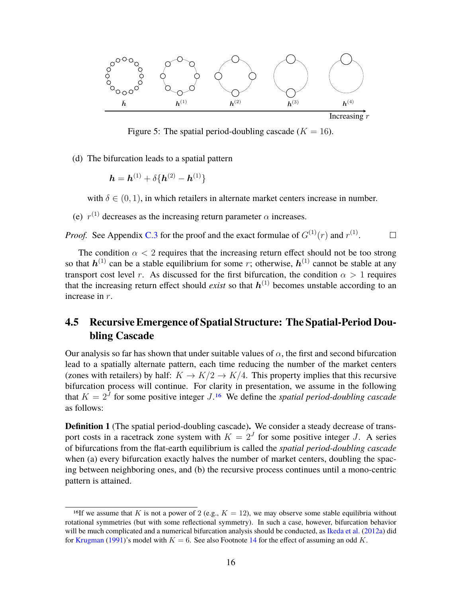

Figure 5: The spatial period-doubling cascade  $(K = 16)$ .

(d) The bifurcation leads to a spatial pattern

$$
h = h^{(1)} + \delta \{h^{(2)} - h^{(1)}\}
$$

with  $\delta \in (0, 1)$ , in which retailers in alternate market centers increase in number.

(e)  $r^{(1)}$  decreases as the increasing return parameter  $\alpha$  increases.

*Proof.* See Appendix C.3 for the proof and the exact formulae of  $G^{(1)}(r)$  and  $r^{(1)}$ .  $\Box$ 

The condition  $\alpha < 2$  requires that the increasing return effect should not be too strong so that  $h^{(1)}$  can be a stable equilibrium for some *r*; otherwise,  $h^{(1)}$  cannot be stable at any transport cost level *r*. As discussed for the first bifurcation, the condition  $\alpha > 1$  requires that the increasing return effect should *exist* so that  $h^{(1)}$  becomes unstable according to an increase in *r*.

### **4.5 Recursive Emergence of Spatial Structure: The Spatial-Period Doubling Cascade**

Our analysis so far has shown that under suitable values of  $\alpha$ , the first and second bifurcation lead to a spatially alternate pattern, each time reducing the number of the market centers (zones with retailers) by half:  $K \to K/2 \to K/4$ . This property implies that this recursive bifurcation process will continue. For clarity in presentation, we assume in the following that  $K = 2<sup>J</sup>$  for some positive integer  $J<sup>16</sup>$  We define the *spatial period-doubling cascade* as follows:

**Definition 1** (The spatial period-doubling cascade)**.** We consider a steady decrease of transport costs in a racetrack zone system with  $K = 2<sup>J</sup>$  for some positive integer *J*. A series of bifurcations from the flat-earth equilibrium is called the *spatial period-doubling cascade* when (a) every bifurcation exactly halves the number of market centers, doubling the spacing between neighboring ones, and (b) the recursive process continues until a mono-centric pattern is attained.

<sup>&</sup>lt;sup>16</sup>If we assume that *K* is not a power of 2 (e.g.,  $K = 12$ ), we may observe some stable equilibria without rotational symmetries (but with some reflectional symmetry). In such a case, however, bifurcation behavior will be much complicated and a numerical bifurcation analysis should be conducted, as Ikeda et al. (2012a) did for Krugman (1991)'s model with  $K = 6$ . See also Footnote 14 for the effect of assuming an odd K.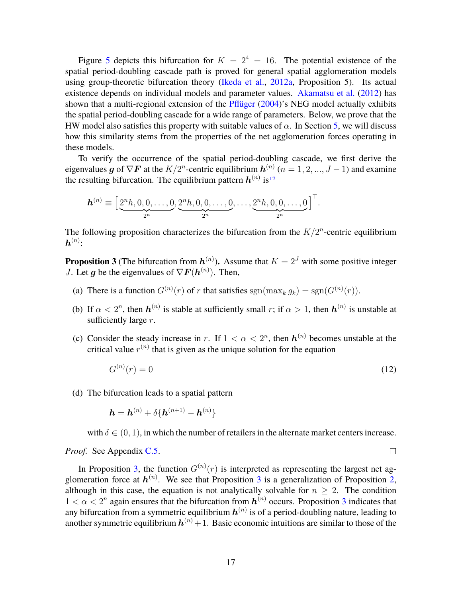Figure 5 depicts this bifurcation for  $K = 2^4 = 16$ . The potential existence of the spatial period-doubling cascade path is proved for general spatial agglomeration models using group-theoretic bifurcation theory (Ikeda et al., 2012a, Proposition 5). Its actual existence depends on individual models and parameter values. Akamatsu et al. (2012) has shown that a multi-regional extension of the Pflüger (2004)'s NEG model actually exhibits the spatial period-doubling cascade for a wide range of parameters. Below, we prove that the HW model also satisfies this property with suitable values of  $\alpha$ . In Section 5, we will discuss how this similarity stems from the properties of the net agglomeration forces operating in these models.

To verify the occurrence of the spatial period-doubling cascade, we first derive the eigenvalues g of  $\nabla \mathbf{F}$  at the  $K/2^n$ -centric equilibrium  $\mathbf{h}^{(n)}$   $(n = 1, 2, ..., J - 1)$  and examine the resulting bifurcation. The equilibrium pattern  $h^{(n)}$  is<sup>17</sup>

$$
\boldsymbol{h}^{(n)} \equiv \Big[\underbrace{2^n h, 0, 0, \ldots, 0}_{2^n}, \underbrace{2^n h, 0, 0, \ldots, 0}_{2^n}, \ldots, \underbrace{2^n h, 0, 0, \ldots, 0}_{2^n}\Big]^{\top}.
$$

The following proposition characterizes the bifurcation from the  $K/2^n$ -centric equilibrium  $\bm{h}^{(n)}$ :

**Proposition 3** (The bifurcation from  $h^{(n)}$ ). Assume that  $K = 2<sup>J</sup>$  with some positive integer *J*. Let *g* be the eigenvalues of  $\nabla F(h^{(n)})$ . Then,

- (a) There is a function  $G^{(n)}(r)$  of *r* that satisfies  $sgn(\max_k g_k) = sgn(G^{(n)}(r))$ .
- (b) If  $\alpha < 2^n$ , then  $h^{(n)}$  is stable at sufficiently small *r*; if  $\alpha > 1$ , then  $h^{(n)}$  is unstable at sufficiently large *r*.
- (c) Consider the steady increase in *r*. If  $1 < \alpha < 2^n$ , then  $h^{(n)}$  becomes unstable at the critical value  $r^{(n)}$  that is given as the unique solution for the equation

$$
G^{(n)}(r) = 0\tag{12}
$$

(d) The bifurcation leads to a spatial pattern

$$
h = h^{(n)} + \delta \{ h^{(n+1)} - h^{(n)} \}
$$

with  $\delta \in (0, 1)$ , in which the number of retailers in the alternate market centers increase.

 $\Box$ 

*Proof.* See Appendix C.5.

In Proposition 3, the function  $G^{(n)}(r)$  is interpreted as representing the largest net agglomeration force at  $h^{(n)}$ . We see that Proposition 3 is a generalization of Proposition 2, although in this case, the equation is not analytically solvable for  $n \geq 2$ . The condition  $1 < \alpha < 2^n$  again ensures that the bifurcation from  $h^{(n)}$  occurs. Proposition 3 indicates that any bifurcation from a symmetric equilibrium  $h^{(n)}$  is of a period-doubling nature, leading to another symmetric equilibrium  $\bm{h}^{(n)}+1.$  Basic economic intuitions are similar to those of the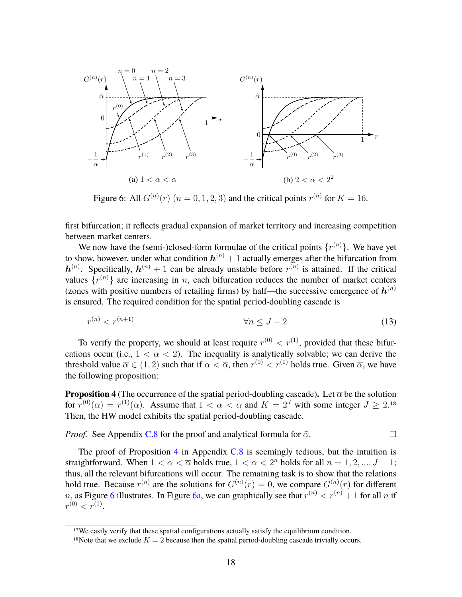

Figure 6: All  $G^{(n)}(r)$   $(n = 0, 1, 2, 3)$  and the critical points  $r^{(n)}$  for  $K = 16$ .

first bifurcation; it reflects gradual expansion of market territory and increasing competition between market centers.

We now have the (semi-)closed-form formulae of the critical points  $\{r^{(n)}\}$ . We have yet to show, however, under what condition  $\bm{h}^{(n)}+1$  actually emerges after the bifurcation from  $h^{(n)}$ . Specifically,  $h^{(n)} + 1$  can be already unstable before  $r^{(n)}$  is attained. If the critical values  $\{r^{(n)}\}$  are increasing in *n*, each bifurcation reduces the number of market centers (zones with positive numbers of retailing firms) by half—the successive emergence of  $h^{(n)}$ is ensured. The required condition for the spatial period-doubling cascade is

$$
r^{(n)} < r^{(n+1)} \qquad \qquad \forall n \le J - 2 \tag{13}
$$

To verify the property, we should at least require  $r^{(0)} < r^{(1)}$ , provided that these bifurcations occur (i.e.,  $1 < \alpha < 2$ ). The inequality is analytically solvable; we can derive the threshold value  $\overline{\alpha} \in (1, 2)$  such that if  $\alpha < \overline{\alpha}$ , then  $r^{(0)} < r^{(1)}$  holds true. Given  $\overline{\alpha}$ , we have the following proposition:

**Proposition 4** (The occurrence of the spatial period-doubling cascade). Let  $\overline{\alpha}$  be the solution for  $r^{(0)}(\alpha) = r^{(1)}(\alpha)$ . Assume that  $1 < \alpha < \overline{\alpha}$  and  $K = 2^J$  with some integer  $J \ge 2^{18}$ . Then, the HW model exhibits the spatial period-doubling cascade.

*Proof.* See Appendix C.8 for the proof and analytical formula for  $\bar{\alpha}$ .  $\Box$ 

The proof of Proposition 4 in Appendix  $C.8$  is seemingly tedious, but the intuition is straightforward. When  $1 < \alpha < \overline{\alpha}$  holds true,  $1 < \alpha < 2^n$  holds for all  $n = 1, 2, ..., J - 1$ ; thus, all the relevant bifurcations will occur. The remaining task is to show that the relations hold true. Because  $r^{(n)}$  are the solutions for  $G^{(n)}(r) = 0$ , we compare  $G^{(n)}(r)$  for different *n*, as Figure 6 illustrates. In Figure 6a, we can graphically see that  $r^{(n)} < r^{(n)} + 1$  for all *n* if  $r^{(0)} < r^{(1)}.$ 

<sup>&</sup>lt;sup>17</sup>We easily verify that these spatial configurations actually satisfy the equilibrium condition.

<sup>&</sup>lt;sup>18</sup>Note that we exclude  $K = 2$  because then the spatial period-doubling cascade trivially occurs.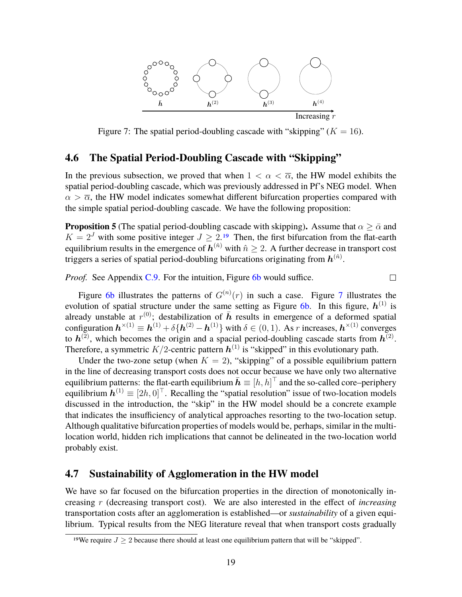

Figure 7: The spatial period-doubling cascade with "skipping"  $(K = 16)$ .

#### **4.6 The Spatial Period-Doubling Cascade with "Skipping"**

In the previous subsection, we proved that when  $1 < \alpha < \overline{\alpha}$ , the HW model exhibits the spatial period-doubling cascade, which was previously addressed in Pf's NEG model. When  $\alpha > \overline{\alpha}$ , the HW model indicates somewhat different bifurcation properties compared with the simple spatial period-doubling cascade. We have the following proposition:

**Proposition 5** (The spatial period-doubling cascade with skipping). Assume that  $\alpha \geq \overline{\alpha}$  and  $K = 2<sup>J</sup>$  with some positive integer  $J \ge 2$ .<sup>19</sup> Then, the first bifurcation from the flat-earth equilibrium results in the emergence of  $h^{(\hat{n})}$  with  $\hat{n} \ge 2$ . A further decrease in transport cost triggers a series of spatial period-doubling bifurcations originating from  $\bm{h}^{(\hat{n})}.$ 

*Proof.* See Appendix C.9. For the intuition, Figure 6b would suffice.

 $\Box$ 

Figure 6b illustrates the patterns of  $G^{(n)}(r)$  in such a case. Figure 7 illustrates the evolution of spatial structure under the same setting as Figure 6b. In this figure,  $h^{(1)}$  is already unstable at  $r^{(0)}$ ; destabilization of  $\bar{h}$  results in emergence of a deformed spatial configuration  $h^{\times (1)} \equiv h^{(1)} + \delta \{ h^{(2)} - h^{(1)} \}$  with  $\delta \in (0, 1)$ . As *r* increases,  $h^{\times (1)}$  converges to  $h^{(2)}$ , which becomes the origin and a spacial period-doubling cascade starts from  $h^{(2)}$ . Therefore, a symmetric  $K/2$ -centric pattern  $\boldsymbol{h}^{(1)}$  is "skipped" in this evolutionary path.

Under the two-zone setup (when  $K = 2$ ), "skipping" of a possible equilibrium pattern in the line of decreasing transport costs does not occur because we have only two alternative equilibrium patterns: the flat-earth equilibrium  $\bar{\bm{h}} \equiv [h, h]^\top$  and the so-called core–periphery equilibrium  $\mathbf{h}^{(1)} \equiv [2h, 0]^\top$ . Recalling the "spatial resolution" issue of two-location models discussed in the introduction, the "skip" in the HW model should be a concrete example that indicates the insufficiency of analytical approaches resorting to the two-location setup. Although qualitative bifurcation properties of models would be, perhaps, similar in the multilocation world, hidden rich implications that cannot be delineated in the two-location world probably exist.

#### **4.7 Sustainability of Agglomeration in the HW model**

We have so far focused on the bifurcation properties in the direction of monotonically increasing *r* (decreasing transport cost). We are also interested in the effect of *increasing* transportation costs after an agglomeration is established—or *sustainability* of a given equilibrium. Typical results from the NEG literature reveal that when transport costs gradually

<sup>&</sup>lt;sup>19</sup>We require  $J > 2$  because there should at least one equilibrium pattern that will be "skipped".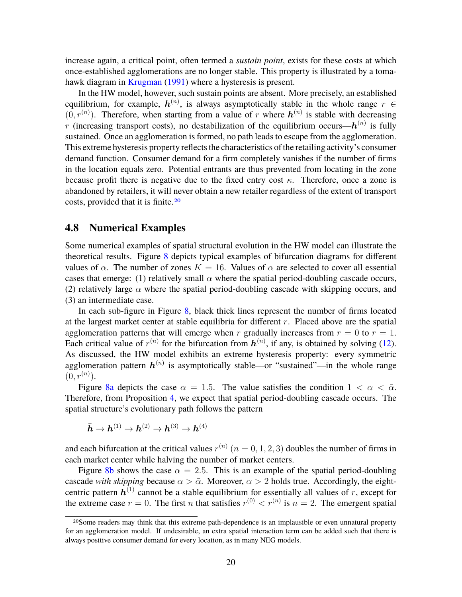increase again, a critical point, often termed a *sustain point*, exists for these costs at which once-established agglomerations are no longer stable. This property is illustrated by a tomahawk diagram in Krugman (1991) where a hysteresis is present.

In the HW model, however, such sustain points are absent. More precisely, an established equilibrium, for example,  $h^{(n)}$ , is always asymptotically stable in the whole range  $r \in$  $(0, r^{(n)})$ . Therefore, when starting from a value of *r* where  $h^{(n)}$  is stable with decreasing *r* (increasing transport costs), no destabilization of the equilibrium occurs— $h^{(n)}$  is fully sustained. Once an agglomeration is formed, no path leads to escape from the agglomeration. This extreme hysteresis property reflects the characteristics of the retailing activity's consumer demand function. Consumer demand for a firm completely vanishes if the number of firms in the location equals zero. Potential entrants are thus prevented from locating in the zone because profit there is negative due to the fixed entry cost *κ*. Therefore, once a zone is abandoned by retailers, it will never obtain a new retailer regardless of the extent of transport costs, provided that it is finite.20

#### **4.8 Numerical Examples**

Some numerical examples of spatial structural evolution in the HW model can illustrate the theoretical results. Figure 8 depicts typical examples of bifurcation diagrams for different values of *α*. The number of zones  $K = 16$ . Values of *α* are selected to cover all essential cases that emerge: (1) relatively small  $\alpha$  where the spatial period-doubling cascade occurs, (2) relatively large  $\alpha$  where the spatial period-doubling cascade with skipping occurs, and (3) an intermediate case.

In each sub-figure in Figure 8, black thick lines represent the number of firms located at the largest market center at stable equilibria for different *r*. Placed above are the spatial agglomeration patterns that will emerge when *r* gradually increases from  $r = 0$  to  $r = 1$ . Each critical value of  $r^{(n)}$  for the bifurcation from  $h^{(n)}$ , if any, is obtained by solving (12). As discussed, the HW model exhibits an extreme hysteresis property: every symmetric agglomeration pattern  $h^{(n)}$  is asymptotically stable—or "sustained"—in the whole range  $(0, r^{(n)})$ .

Figure 8a depicts the case  $\alpha = 1.5$ . The value satisfies the condition  $1 < \alpha < \overline{\alpha}$ . Therefore, from Proposition 4, we expect that spatial period-doubling cascade occurs. The spatial structure's evolutionary path follows the pattern

$$
\bar{\boldsymbol{h}}\rightarrow\boldsymbol{h}^{(1)}\rightarrow\boldsymbol{h}^{(2)}\rightarrow\boldsymbol{h}^{(3)}\rightarrow\boldsymbol{h}^{(4)}
$$

and each bifurcation at the critical values  $r^{(n)}$   $(n = 0, 1, 2, 3)$  doubles the number of firms in each market center while halving the number of market centers.

Figure 8b shows the case  $\alpha = 2.5$ . This is an example of the spatial period-doubling cascade *with skipping* because  $\alpha > \bar{\alpha}$ . Moreover,  $\alpha > 2$  holds true. Accordingly, the eightcentric pattern  $h^{(1)}$  cannot be a stable equilibrium for essentially all values of  $r$ , except for the extreme case  $r = 0$ . The first *n* that satisfies  $r^{(0)} < r^{(n)}$  is  $n = 2$ . The emergent spatial

<sup>20</sup>Some readers may think that this extreme path-dependence is an implausible or even unnatural property for an agglomeration model. If undesirable, an extra spatial interaction term can be added such that there is always positive consumer demand for every location, as in many NEG models.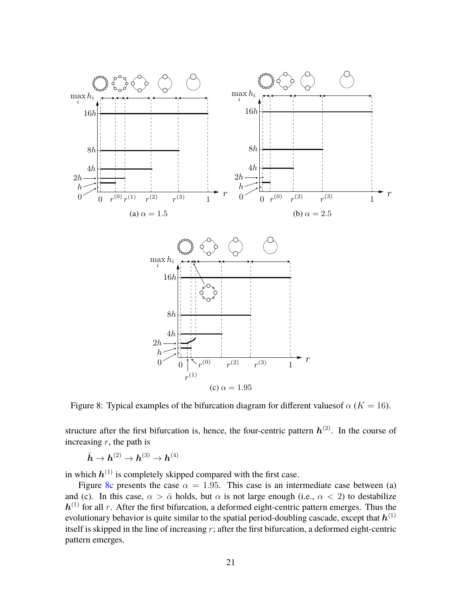

Figure 8: Typical examples of the bifurcation diagram for different values of  $\alpha$  ( $K = 16$ ).

structure after the first bifurcation is, hence, the four-centric pattern  $h^{(2)}$ . In the course of increasing *r*, the path is

 $\bar{{\boldsymbol{h}}} \rightarrow {\boldsymbol{h}}^{(2)} \rightarrow {\boldsymbol{h}}^{(3)} \rightarrow {\boldsymbol{h}}^{(4)}$ 

in which  $h^{(1)}$  is completely skipped compared with the first case.

Figure 8c presents the case  $\alpha = 1.95$ . This case is an intermediate case between (a) and (c). In this case,  $\alpha > \bar{\alpha}$  holds, but  $\alpha$  is not large enough (i.e.,  $\alpha < 2$ ) to destabilize  $h^{(1)}$  for all *r*. After the first bifurcation, a deformed eight-centric pattern emerges. Thus the evolutionary behavior is quite similar to the spatial period-doubling cascade, except that  $\bm{h}^{(1)}$ itself is skipped in the line of increasing *r*; after the first bifurcation, a deformed eight-centric pattern emerges.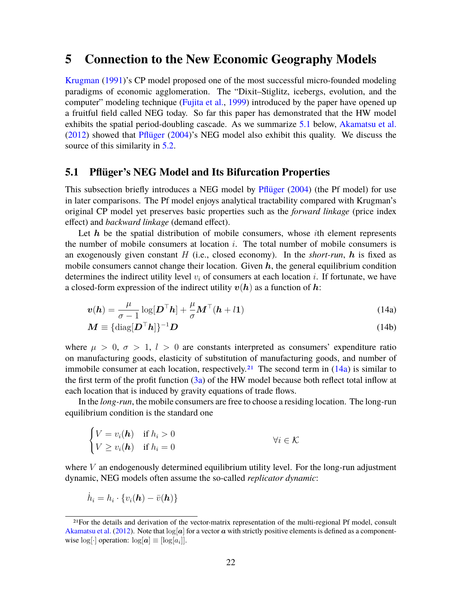# **5 Connection to the New Economic Geography Models**

Krugman (1991)'s CP model proposed one of the most successful micro-founded modeling paradigms of economic agglomeration. The "Dixit–Stiglitz, icebergs, evolution, and the computer" modeling technique (Fujita et al., 1999) introduced by the paper have opened up a fruitful field called NEG today. So far this paper has demonstrated that the HW model exhibits the spatial period-doubling cascade. As we summarize 5.1 below, Akamatsu et al. (2012) showed that Pflüger (2004)'s NEG model also exhibit this quality. We discuss the source of this similarity in 5.2.

#### **5.1 Pflüger's NEG Model and Its Bifurcation Properties**

This subsection briefly introduces a NEG model by Pflüger (2004) (the Pf model) for use in later comparisons. The Pf model enjoys analytical tractability compared with Krugman's original CP model yet preserves basic properties such as the *forward linkage* (price index effect) and *backward linkage* (demand effect).

Let h be the spatial distribution of mobile consumers, whose *i*th element represents the number of mobile consumers at location *i*. The total number of mobile consumers is an exogenously given constant  $H$  (i.e., closed economy). In the *short-run*,  $h$  is fixed as mobile consumers cannot change their location. Given  $h$ , the general equilibrium condition determines the indirect utility level  $v_i$  of consumers at each location  $i$ . If fortunate, we have a closed-form expression of the indirect utility  $v(h)$  as a function of h:

$$
\boldsymbol{v}(\boldsymbol{h}) = \frac{\mu}{\sigma - 1} \log[\boldsymbol{D}^{\top}\boldsymbol{h}] + \frac{\mu}{\sigma} \boldsymbol{M}^{\top}(\boldsymbol{h} + l\mathbf{1})
$$
(14a)

$$
\boldsymbol{M} \equiv {\{\text{diag}[\boldsymbol{D}^{\top}\boldsymbol{h}]\}}^{-1}\boldsymbol{D}
$$
 (14b)

where  $\mu > 0$ ,  $\sigma > 1$ ,  $l > 0$  are constants interpreted as consumers' expenditure ratio on manufacturing goods, elasticity of substitution of manufacturing goods, and number of immobile consumer at each location, respectively.<sup>21</sup> The second term in  $(14a)$  is similar to the first term of the profit function  $(3a)$  of the HW model because both reflect total inflow at each location that is induced by gravity equations of trade flows.

In the *long-run*, the mobile consumers are free to choose a residing location. The long-run equilibrium condition is the standard one

$$
\begin{cases}\nV = v_i(\boldsymbol{h}) & \text{if } h_i > 0 \\
V \ge v_i(\boldsymbol{h}) & \text{if } h_i = 0\n\end{cases} \qquad \forall i \in \mathcal{K}
$$

where *V* an endogenously determined equilibrium utility level. For the long-run adjustment dynamic, NEG models often assume the so-called *replicator dynamic*:

$$
\dot{h}_i = h_i \cdot \{v_i(\boldsymbol{h}) - \bar{v}(\boldsymbol{h})\}
$$

<sup>21</sup>For the details and derivation of the vector-matrix representation of the multi-regional Pf model, consult Akamatsu et al. (2012). Note that  $\log[a]$  for a vector a with strictly positive elements is defined as a componentwise  $log[\cdot]$  operation:  $log[a] \equiv [log[a_i]].$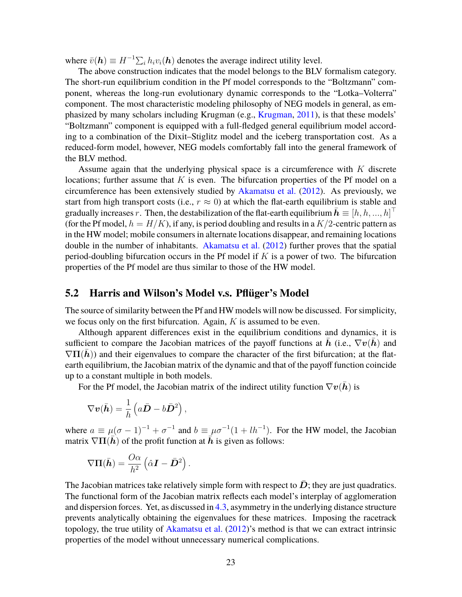where  $\bar{v}(\mathbf{h}) \equiv H^{-1} \sum_i h_i v_i(\mathbf{h})$  denotes the average indirect utility level.

The above construction indicates that the model belongs to the BLV formalism category. The short-run equilibrium condition in the Pf model corresponds to the "Boltzmann" component, whereas the long-run evolutionary dynamic corresponds to the "Lotka–Volterra" component. The most characteristic modeling philosophy of NEG models in general, as emphasized by many scholars including Krugman (e.g., Krugman, 2011), is that these models' "Boltzmann" component is equipped with a full-fledged general equilibrium model according to a combination of the Dixit–Stiglitz model and the iceberg transportation cost. As a reduced-form model, however, NEG models comfortably fall into the general framework of the BLV method.

Assume again that the underlying physical space is a circumference with *K* discrete locations; further assume that *K* is even. The bifurcation properties of the Pf model on a circumference has been extensively studied by Akamatsu et al. (2012). As previously, we start from high transport costs (i.e.,  $r \approx 0$ ) at which the flat-earth equilibrium is stable and gradually increases *r*. Then, the destabilization of the flat-earth equilibrium  $\bar{\mathbf{h}} \equiv [h, h, ..., h]^\top$ (for the Pf model,  $h = H/K$ ), if any, is period doubling and results in a  $K/2$ -centric pattern as in the HW model; mobile consumers in alternate locations disappear, and remaining locations double in the number of inhabitants. Akamatsu et al. (2012) further proves that the spatial period-doubling bifurcation occurs in the Pf model if *K* is a power of two. The bifurcation properties of the Pf model are thus similar to those of the HW model.

#### **5.2 Harris and Wilson's Model v.s. Pflüger's Model**

The source of similarity between the Pf and HW models will now be discussed. For simplicity, we focus only on the first bifurcation. Again, *K* is assumed to be even.

Although apparent differences exist in the equilibrium conditions and dynamics, it is sufficient to compare the Jacobian matrices of the payoff functions at h (i.e.,  $\nabla v(h)$ ) and  $\nabla\Pi(h)$ ) and their eigenvalues to compare the character of the first bifurcation; at the flatearth equilibrium, the Jacobian matrix of the dynamic and that of the payoff function coincide up to a constant multiple in both models.

For the Pf model, the Jacobian matrix of the indirect utility function  $\nabla \boldsymbol{v}(\bar{\boldsymbol{h}})$  is

$$
\nabla \boldsymbol{v}(\bar{\boldsymbol{h}}) = \frac{1}{h} \left( a \bar{\boldsymbol{D}} - b \bar{\boldsymbol{D}}^2 \right),
$$

where  $a \equiv \mu(\sigma - 1)^{-1} + \sigma^{-1}$  and  $b \equiv \mu \sigma^{-1}(1 + lh^{-1})$ . For the HW model, the Jacobian matrix  $\nabla \Pi(\bar{h})$  of the profit function at  $\bar{h}$  is given as follows:

$$
\nabla \Pi(\bar{\boldsymbol{h}}) = \frac{O\alpha}{h^2} \left(\hat{\alpha} \boldsymbol{I} - \bar{\boldsymbol{D}}^2\right).
$$

The Jacobian matrices take relatively simple form with respect to  $\overline{D}$ ; they are just quadratics. The functional form of the Jacobian matrix reflects each model's interplay of agglomeration and dispersion forces. Yet, as discussed in 4.3, asymmetry in the underlying distance structure prevents analytically obtaining the eigenvalues for these matrices. Imposing the racetrack topology, the true utility of Akamatsu et al. (2012)'s method is that we can extract intrinsic properties of the model without unnecessary numerical complications.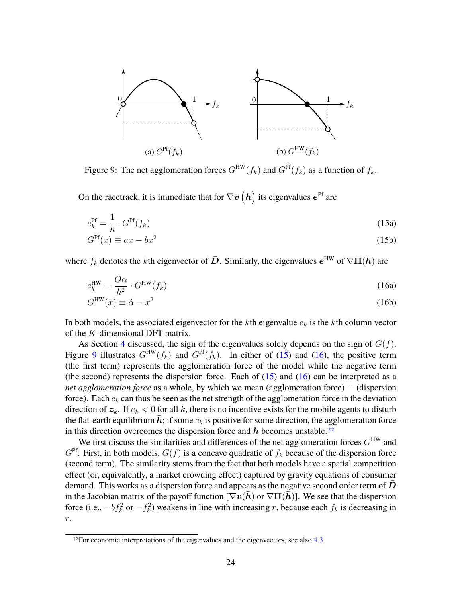

Figure 9: The net agglomeration forces  $G^{\text{HW}}(f_k)$  and  $G^{\text{Pf}}(f_k)$  as a function of  $f_k$ .

On the racetrack, it is immediate that for  $\nabla \bm{v}\left(\bar{\bm{h}}\right)$  its eigenvalues  $\bm{e}^\text{Pf}$  are

$$
e_k^{\text{Pf}} = \frac{1}{h} \cdot G^{\text{Pf}}(f_k) \tag{15a}
$$

$$
G^{\text{Pf}}(x) \equiv ax - bx^2 \tag{15b}
$$

where  $f_k$  denotes the *k*th eigenvector of  $\bar{D}$ . Similarly, the eigenvalues  $e^{\text{HW}}$  of  $\nabla \Pi(\bar{h})$  are

$$
e_k^{\text{HW}} = \frac{O\alpha}{h^2} \cdot G^{\text{HW}}(f_k)
$$
 (16a)

$$
G^{\text{HW}}(x) \equiv \hat{\alpha} - x^2 \tag{16b}
$$

In both models, the associated eigenvector for the *k*th eigenvalue *e<sup>k</sup>* is the *k*th column vector of the *K*-dimensional DFT matrix.

As Section 4 discussed, the sign of the eigenvalues solely depends on the sign of  $G(f)$ . Figure 9 illustrates  $G^{\text{HW}}(f_k)$  and  $G^{\text{Pf}}(f_k)$ . In either of (15) and (16), the positive term (the first term) represents the agglomeration force of the model while the negative term (the second) represents the dispersion force. Each of  $(15)$  and  $(16)$  can be interpreted as a *net agglomeration force* as a whole, by which we mean (agglomeration force) – (dispersion force). Each *e<sup>k</sup>* can thus be seen as the net strength of the agglomeration force in the deviation direction of  $z_k$ . If  $e_k < 0$  for all k, there is no incentive exists for the mobile agents to disturb the flat-earth equilibrium  $h$ ; if some  $e_k$  is positive for some direction, the agglomeration force in this direction overcomes the dispersion force and  $h$  becomes unstable.<sup>22</sup>

We first discuss the similarities and differences of the net agglomeration forces *G* HW and  $G^{\text{Pf}}$ . First, in both models,  $G(f)$  is a concave quadratic of  $f_k$  because of the dispersion force (second term). The similarity stems from the fact that both models have a spatial competition effect (or, equivalently, a market crowding effect) captured by gravity equations of consumer demand. This works as a dispersion force and appears as the negative second order term of  $D$ in the Jacobian matrix of the payoff function  $[\nabla v(h)$  or  $\nabla \Pi(h)]$ . We see that the dispersion force (i.e.,  $-bf_k^2$  or  $-f_k^2$ ) weakens in line with increasing *r*, because each  $f_k$  is decreasing in *r*.

<sup>&</sup>lt;sup>22</sup>For economic interpretations of the eigenvalues and the eigenvectors, see also 4.3.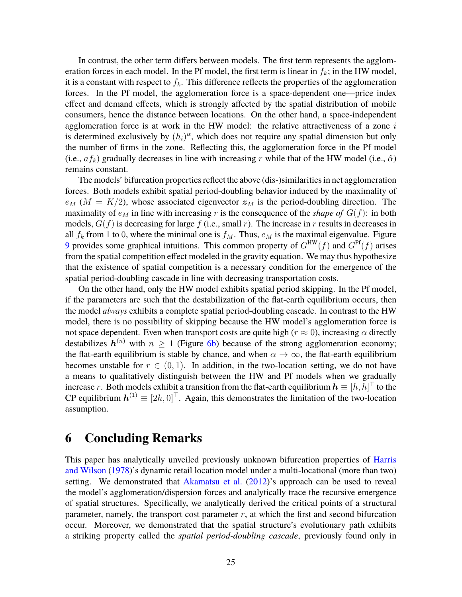In contrast, the other term differs between models. The first term represents the agglomeration forces in each model. In the Pf model, the first term is linear in  $f_k$ ; in the HW model, it is a constant with respect to  $f_k$ . This difference reflects the properties of the agglomeration forces. In the Pf model, the agglomeration force is a space-dependent one—price index effect and demand effects, which is strongly affected by the spatial distribution of mobile consumers, hence the distance between locations. On the other hand, a space-independent agglomeration force is at work in the HW model: the relative attractiveness of a zone *i* is determined exclusively by  $(h_i)^\alpha$ , which does not require any spatial dimension but only the number of firms in the zone. Reflecting this, the agglomeration force in the Pf model (i.e.,  $af_k$ ) gradually decreases in line with increasing r while that of the HW model (i.e.,  $\hat{\alpha}$ ) remains constant.

The models' bifurcation properties reflect the above (dis-)similarities in net agglomeration forces. Both models exhibit spatial period-doubling behavior induced by the maximality of  $e_M$  ( $M = K/2$ ), whose associated eigenvector  $z_M$  is the period-doubling direction. The maximality of  $e_M$  in line with increasing r is the consequence of the *shape of*  $G(f)$ : in both models,  $G(f)$  is decreasing for large  $f$  (i.e., small  $r$ ). The increase in  $r$  results in decreases in all  $f_k$  from 1 to 0, where the minimal one is  $f_M$ . Thus,  $e_M$  is the maximal eigenvalue. Figure 9 provides some graphical intuitions. This common property of  $G^{HW}(f)$  and  $G^{PF}(f)$  arises from the spatial competition effect modeled in the gravity equation. We may thus hypothesize that the existence of spatial competition is a necessary condition for the emergence of the spatial period-doubling cascade in line with decreasing transportation costs.

On the other hand, only the HW model exhibits spatial period skipping. In the Pf model, if the parameters are such that the destabilization of the flat-earth equilibrium occurs, then the model *always* exhibits a complete spatial period-doubling cascade. In contrast to the HW model, there is no possibility of skipping because the HW model's agglomeration force is not space dependent. Even when transport costs are quite high ( $r \approx 0$ ), increasing  $\alpha$  directly destabilizes  $h^{(n)}$  with  $n \geq 1$  (Figure 6b) because of the strong agglomeration economy; the flat-earth equilibrium is stable by chance, and when  $\alpha \to \infty$ , the flat-earth equilibrium becomes unstable for  $r \in (0, 1)$ . In addition, in the two-location setting, we do not have a means to qualitatively distinguish between the HW and Pf models when we gradually increase *r*. Both models exhibit a transition from the flat-earth equilibrium  $\bar{h} \equiv [h, h]^\top$  to the CP equilibrium  $h^{(1)} \equiv [2h, 0]^\top$ . Again, this demonstrates the limitation of the two-location assumption.

# **6 Concluding Remarks**

This paper has analytically unveiled previously unknown bifurcation properties of Harris and Wilson (1978)'s dynamic retail location model under a multi-locational (more than two) setting. We demonstrated that Akamatsu et al. (2012)'s approach can be used to reveal the model's agglomeration/dispersion forces and analytically trace the recursive emergence of spatial structures. Specifically, we analytically derived the critical points of a structural parameter, namely, the transport cost parameter  $r$ , at which the first and second bifurcation occur. Moreover, we demonstrated that the spatial structure's evolutionary path exhibits a striking property called the *spatial period-doubling cascade*, previously found only in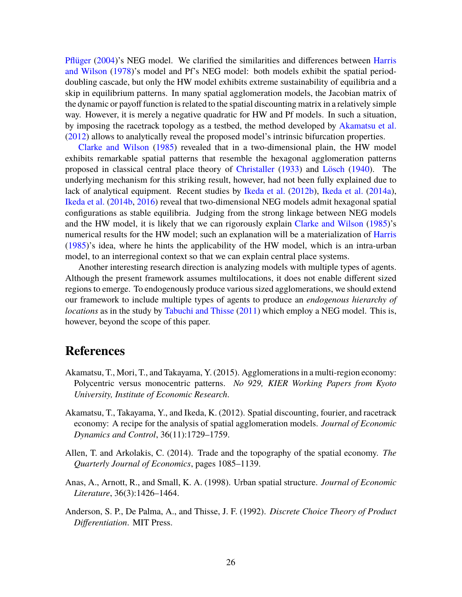Pflüger (2004)'s NEG model. We clarified the similarities and differences between Harris and Wilson (1978)'s model and Pf's NEG model: both models exhibit the spatial perioddoubling cascade, but only the HW model exhibits extreme sustainability of equilibria and a skip in equilibrium patterns. In many spatial agglomeration models, the Jacobian matrix of the dynamic or payoff function is related to the spatial discounting matrix in a relatively simple way. However, it is merely a negative quadratic for HW and Pf models. In such a situation, by imposing the racetrack topology as a testbed, the method developed by Akamatsu et al. (2012) allows to analytically reveal the proposed model's intrinsic bifurcation properties.

Clarke and Wilson (1985) revealed that in a two-dimensional plain, the HW model exhibits remarkable spatial patterns that resemble the hexagonal agglomeration patterns proposed in classical central place theory of Christaller (1933) and Lösch (1940). The underlying mechanism for this striking result, however, had not been fully explained due to lack of analytical equipment. Recent studies by Ikeda et al. (2012b), Ikeda et al. (2014a), Ikeda et al. (2014b, 2016) reveal that two-dimensional NEG models admit hexagonal spatial configurations as stable equilibria. Judging from the strong linkage between NEG models and the HW model, it is likely that we can rigorously explain Clarke and Wilson (1985)'s numerical results for the HW model; such an explanation will be a materialization of Harris (1985)'s idea, where he hints the applicability of the HW model, which is an intra-urban model, to an interregional context so that we can explain central place systems.

Another interesting research direction is analyzing models with multiple types of agents. Although the present framework assumes multilocations, it does not enable different sized regions to emerge. To endogenously produce various sized agglomerations, we should extend our framework to include multiple types of agents to produce an *endogenous hierarchy of locations* as in the study by Tabuchi and Thisse (2011) which employ a NEG model. This is, however, beyond the scope of this paper.

# **References**

- Akamatsu, T., Mori, T., and Takayama, Y. (2015). Agglomerations in a multi-region economy: Polycentric versus monocentric patterns. *No 929, KIER Working Papers from Kyoto University, Institute of Economic Research*.
- Akamatsu, T., Takayama, Y., and Ikeda, K. (2012). Spatial discounting, fourier, and racetrack economy: A recipe for the analysis of spatial agglomeration models. *Journal of Economic Dynamics and Control*, 36(11):1729–1759.
- Allen, T. and Arkolakis, C. (2014). Trade and the topography of the spatial economy. *The Quarterly Journal of Economics*, pages 1085–1139.
- Anas, A., Arnott, R., and Small, K. A. (1998). Urban spatial structure. *Journal of Economic Literature*, 36(3):1426–1464.
- Anderson, S. P., De Palma, A., and Thisse, J. F. (1992). *Discrete Choice Theory of Product Differentiation*. MIT Press.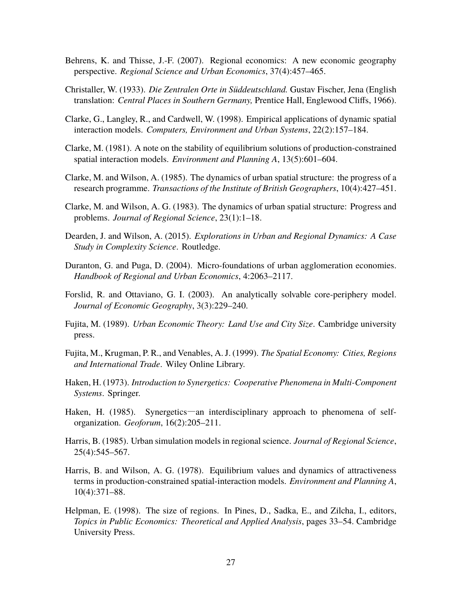- Behrens, K. and Thisse, J.-F. (2007). Regional economics: A new economic geography perspective. *Regional Science and Urban Economics*, 37(4):457–465.
- Christaller, W. (1933). *Die Zentralen Orte in Süddeutschland.* Gustav Fischer, Jena (English translation: *Central Places in Southern Germany,* Prentice Hall, Englewood Cliffs, 1966).
- Clarke, G., Langley, R., and Cardwell, W. (1998). Empirical applications of dynamic spatial interaction models. *Computers, Environment and Urban Systems*, 22(2):157–184.
- Clarke, M. (1981). A note on the stability of equilibrium solutions of production-constrained spatial interaction models. *Environment and Planning A*, 13(5):601–604.
- Clarke, M. and Wilson, A. (1985). The dynamics of urban spatial structure: the progress of a research programme. *Transactions of the Institute of British Geographers*, 10(4):427–451.
- Clarke, M. and Wilson, A. G. (1983). The dynamics of urban spatial structure: Progress and problems. *Journal of Regional Science*, 23(1):1–18.
- Dearden, J. and Wilson, A. (2015). *Explorations in Urban and Regional Dynamics: A Case Study in Complexity Science*. Routledge.
- Duranton, G. and Puga, D. (2004). Micro-foundations of urban agglomeration economies. *Handbook of Regional and Urban Economics*, 4:2063–2117.
- Forslid, R. and Ottaviano, G. I. (2003). An analytically solvable core-periphery model. *Journal of Economic Geography*, 3(3):229–240.
- Fujita, M. (1989). *Urban Economic Theory: Land Use and City Size*. Cambridge university press.
- Fujita, M., Krugman, P. R., and Venables, A. J. (1999). *The Spatial Economy: Cities, Regions and International Trade*. Wiley Online Library.
- Haken, H. (1973). *Introduction to Synergetics: Cooperative Phenomena in Multi-Component Systems*. Springer.
- Haken, H. (1985). Synergetics—an interdisciplinary approach to phenomena of selforganization. *Geoforum*, 16(2):205–211.
- Harris, B. (1985). Urban simulation models in regional science. *Journal of Regional Science*, 25(4):545–567.
- Harris, B. and Wilson, A. G. (1978). Equilibrium values and dynamics of attractiveness terms in production-constrained spatial-interaction models. *Environment and Planning A*, 10(4):371–88.
- Helpman, E. (1998). The size of regions. In Pines, D., Sadka, E., and Zilcha, I., editors, *Topics in Public Economics: Theoretical and Applied Analysis*, pages 33–54. Cambridge University Press.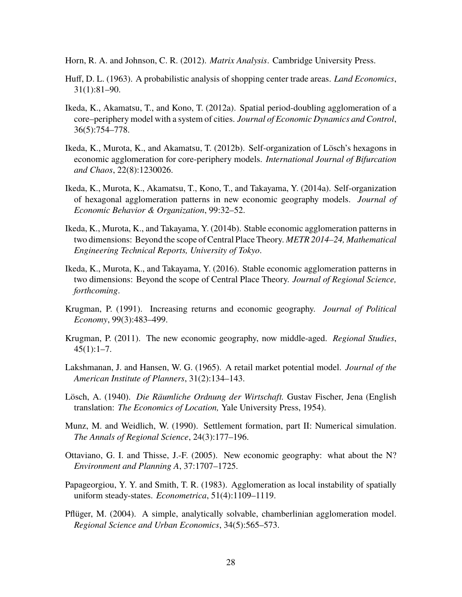- Horn, R. A. and Johnson, C. R. (2012). *Matrix Analysis*. Cambridge University Press.
- Huff, D. L. (1963). A probabilistic analysis of shopping center trade areas. *Land Economics*, 31(1):81–90.
- Ikeda, K., Akamatsu, T., and Kono, T. (2012a). Spatial period-doubling agglomeration of a core–periphery model with a system of cities. *Journal of Economic Dynamics and Control*, 36(5):754–778.
- Ikeda, K., Murota, K., and Akamatsu, T. (2012b). Self-organization of Lösch's hexagons in economic agglomeration for core-periphery models. *International Journal of Bifurcation and Chaos*, 22(8):1230026.
- Ikeda, K., Murota, K., Akamatsu, T., Kono, T., and Takayama, Y. (2014a). Self-organization of hexagonal agglomeration patterns in new economic geography models. *Journal of Economic Behavior & Organization*, 99:32–52.
- Ikeda, K., Murota, K., and Takayama, Y. (2014b). Stable economic agglomeration patterns in two dimensions: Beyond the scope of Central Place Theory. *METR 2014–24, Mathematical Engineering Technical Reports, University of Tokyo*.
- Ikeda, K., Murota, K., and Takayama, Y. (2016). Stable economic agglomeration patterns in two dimensions: Beyond the scope of Central Place Theory. *Journal of Regional Science, forthcoming*.
- Krugman, P. (1991). Increasing returns and economic geography. *Journal of Political Economy*, 99(3):483–499.
- Krugman, P. (2011). The new economic geography, now middle-aged. *Regional Studies*,  $45(1):1-7.$
- Lakshmanan, J. and Hansen, W. G. (1965). A retail market potential model. *Journal of the American Institute of Planners*, 31(2):134–143.
- Lösch, A. (1940). *Die Räumliche Ordnung der Wirtschaft.* Gustav Fischer, Jena (English translation: *The Economics of Location,* Yale University Press, 1954).
- Munz, M. and Weidlich, W. (1990). Settlement formation, part II: Numerical simulation. *The Annals of Regional Science*, 24(3):177–196.
- Ottaviano, G. I. and Thisse, J.-F. (2005). New economic geography: what about the N? *Environment and Planning A*, 37:1707–1725.
- Papageorgiou, Y. Y. and Smith, T. R. (1983). Agglomeration as local instability of spatially uniform steady-states. *Econometrica*, 51(4):1109–1119.
- Pflüger, M. (2004). A simple, analytically solvable, chamberlinian agglomeration model. *Regional Science and Urban Economics*, 34(5):565–573.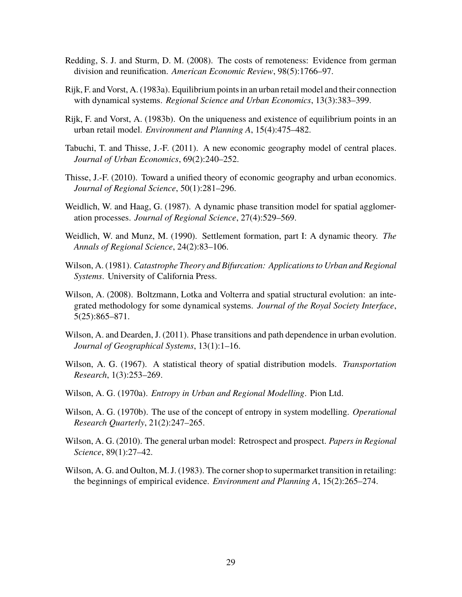- Redding, S. J. and Sturm, D. M. (2008). The costs of remoteness: Evidence from german division and reunification. *American Economic Review*, 98(5):1766–97.
- Rijk, F. and Vorst, A. (1983a). Equilibrium points in an urban retail model and their connection with dynamical systems. *Regional Science and Urban Economics*, 13(3):383–399.
- Rijk, F. and Vorst, A. (1983b). On the uniqueness and existence of equilibrium points in an urban retail model. *Environment and Planning A*, 15(4):475–482.
- Tabuchi, T. and Thisse, J.-F. (2011). A new economic geography model of central places. *Journal of Urban Economics*, 69(2):240–252.
- Thisse, J.-F. (2010). Toward a unified theory of economic geography and urban economics. *Journal of Regional Science*, 50(1):281–296.
- Weidlich, W. and Haag, G. (1987). A dynamic phase transition model for spatial agglomeration processes. *Journal of Regional Science*, 27(4):529–569.
- Weidlich, W. and Munz, M. (1990). Settlement formation, part I: A dynamic theory. *The Annals of Regional Science*, 24(2):83–106.
- Wilson, A. (1981). *Catastrophe Theory and Bifurcation: Applications to Urban and Regional Systems*. University of California Press.
- Wilson, A. (2008). Boltzmann, Lotka and Volterra and spatial structural evolution: an integrated methodology for some dynamical systems. *Journal of the Royal Society Interface*, 5(25):865–871.
- Wilson, A. and Dearden, J. (2011). Phase transitions and path dependence in urban evolution. *Journal of Geographical Systems*, 13(1):1–16.
- Wilson, A. G. (1967). A statistical theory of spatial distribution models. *Transportation Research*, 1(3):253–269.
- Wilson, A. G. (1970a). *Entropy in Urban and Regional Modelling*. Pion Ltd.
- Wilson, A. G. (1970b). The use of the concept of entropy in system modelling. *Operational Research Quarterly*, 21(2):247–265.
- Wilson, A. G. (2010). The general urban model: Retrospect and prospect. *Papers in Regional Science*, 89(1):27–42.
- Wilson, A. G. and Oulton, M. J. (1983). The corner shop to supermarket transition in retailing: the beginnings of empirical evidence. *Environment and Planning A*, 15(2):265–274.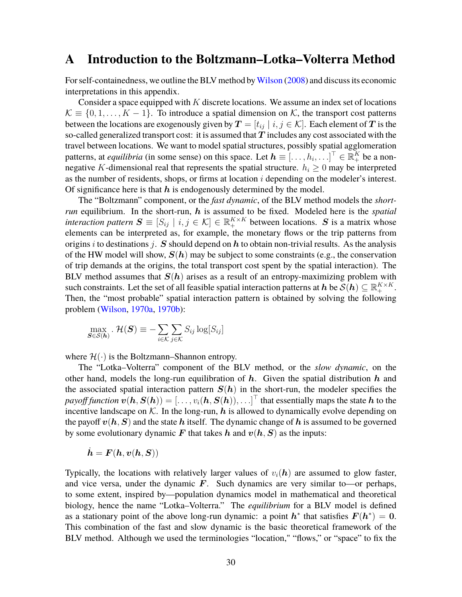# **A Introduction to the Boltzmann–Lotka–Volterra Method**

For self-containedness, we outline the BLV method by Wilson (2008) and discuss its economic interpretations in this appendix.

Consider a space equipped with *K* discrete locations. We assume an index set of locations  $\mathcal{K} \equiv \{0, 1, \ldots, K - 1\}$ . To introduce a spatial dimension on K, the transport cost patterns between the locations are exogenously given by  $T = [t_{ij} | i, j \in \mathcal{K}]$ . Each element of T is the so-called generalized transport cost: it is assumed that  $T$  includes any cost associated with the travel between locations. We want to model spatial structures, possibly spatial agglomeration patterns, at *equilibria* (in some sense) on this space. Let  $h \equiv [..., h_i, ...]^\top \in \mathbb{R}_+^K$  be a nonnegative *K*-dimensional real that represents the spatial structure.  $h_i \geq 0$  may be interpreted as the number of residents, shops, or firms at location *i* depending on the modeler's interest. Of significance here is that  $h$  is endogenously determined by the model.

The "Boltzmann" component, or the *fast dynamic*, of the BLV method models the *shortrun* equilibrium. In the short-run, h is assumed to be fixed. Modeled here is the *spatial interaction pattern*  $S \equiv [S_{ij} | i, j \in \mathcal{K}] \in \mathbb{R}^{K \times K}_{+}$  between locations. S is a matrix whose elements can be interpreted as, for example, the monetary flows or the trip patterns from origins *i* to destinations *j*. S should depend on  $h$  to obtain non-trivial results. As the analysis of the HW model will show,  $S(h)$  may be subject to some constraints (e.g., the conservation of trip demands at the origins, the total transport cost spent by the spatial interaction). The BLV method assumes that  $S(h)$  arises as a result of an entropy-maximizing problem with such constraints. Let the set of all feasible spatial interaction patterns at  $h$  be  $\mathcal{S}(h) \subseteq \mathbb{R}_+^{K \times K}$ . Then, the "most probable" spatial interaction pattern is obtained by solving the following problem (Wilson, 1970a, 1970b):

$$
\max_{\mathbf{S}\in\mathcal{S}(\boldsymbol{h})} \cdot \mathcal{H}(\mathbf{S}) \equiv -\sum_{i\in\mathcal{K}} \sum_{j\in\mathcal{K}} S_{ij} \log[S_{ij}]
$$

where  $\mathcal{H}(\cdot)$  is the Boltzmann–Shannon entropy.

The "Lotka–Volterra" component of the BLV method, or the *slow dynamic*, on the other hand, models the long-run equilibration of  $h$ . Given the spatial distribution  $h$  and the associated spatial interaction pattern  $S(h)$  in the short-run, the modeler specifies the  $payoff function \ \boldsymbol{v}(\boldsymbol{h},\boldsymbol{S}(\boldsymbol{h}))=[\ldots,v_i(\boldsymbol{h},\boldsymbol{S}(\boldsymbol{h})) ,\ldots]^\top$  that essentially maps the state  $\boldsymbol{h}$  to the incentive landscape on  $K$ . In the long-run, h is allowed to dynamically evolve depending on the payoff  $v(h, S)$  and the state h itself. The dynamic change of h is assumed to be governed by some evolutionary dynamic F that takes h and  $v(h, S)$  as the inputs:

$$
\dot{\boldsymbol{h}} = \boldsymbol{F}(\boldsymbol{h}, \boldsymbol{v}(\boldsymbol{h}, \boldsymbol{S}))
$$

Typically, the locations with relatively larger values of  $v_i(h)$  are assumed to glow faster, and vice versa, under the dynamic  $\mathbf{F}$ . Such dynamics are very similar to—or perhaps, to some extent, inspired by—population dynamics model in mathematical and theoretical biology, hence the name "Lotka–Volterra." The *equilibrium* for a BLV model is defined as a stationary point of the above long-run dynamic: a point  $h^*$  that satisfies  $F(h^*) = 0$ . This combination of the fast and slow dynamic is the basic theoretical framework of the BLV method. Although we used the terminologies "location," "flows," or "space" to fix the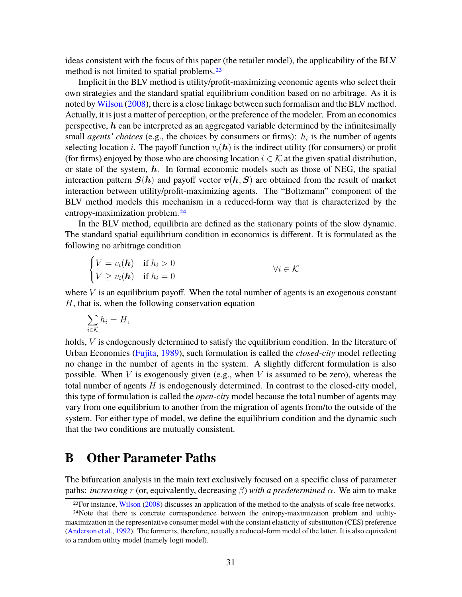ideas consistent with the focus of this paper (the retailer model), the applicability of the BLV method is not limited to spatial problems.<sup>23</sup>

Implicit in the BLV method is utility/profit-maximizing economic agents who select their own strategies and the standard spatial equilibrium condition based on no arbitrage. As it is noted by Wilson (2008), there is a close linkage between such formalism and the BLV method. Actually, it is just a matter of perception, or the preference of the modeler. From an economics perspective,  $h$  can be interpreted as an aggregated variable determined by the infinitesimally small *agents' choices* (e.g., the choices by consumers or firms): *h<sup>i</sup>* is the number of agents selecting location *i*. The payoff function  $v_i(h)$  is the indirect utility (for consumers) or profit (for firms) enjoyed by those who are choosing location  $i \in \mathcal{K}$  at the given spatial distribution, or state of the system,  $h$ . In formal economic models such as those of NEG, the spatial interaction pattern  $S(h)$  and payoff vector  $v(h, S)$  are obtained from the result of market interaction between utility/profit-maximizing agents. The "Boltzmann" component of the BLV method models this mechanism in a reduced-form way that is characterized by the entropy-maximization problem.24

In the BLV method, equilibria are defined as the stationary points of the slow dynamic. The standard spatial equilibrium condition in economics is different. It is formulated as the following no arbitrage condition

$$
\begin{cases}\nV = v_i(\mathbf{h}) & \text{if } h_i > 0 \\
V \ge v_i(\mathbf{h}) & \text{if } h_i = 0\n\end{cases} \qquad \forall i \in \mathcal{K}
$$

where  $V$  is an equilibrium payoff. When the total number of agents is an exogenous constant *H*, that is, when the following conservation equation

$$
\sum_{i\in\mathcal{K}}h_i=H,
$$

holds, *V* is endogenously determined to satisfy the equilibrium condition. In the literature of Urban Economics (Fujita, 1989), such formulation is called the *closed-city* model reflecting no change in the number of agents in the system. A slightly different formulation is also possible. When *V* is exogenously given (e.g., when *V* is assumed to be zero), whereas the total number of agents *H* is endogenously determined. In contrast to the closed-city model, this type of formulation is called the *open-city* model because the total number of agents may vary from one equilibrium to another from the migration of agents from/to the outside of the system. For either type of model, we define the equilibrium condition and the dynamic such that the two conditions are mutually consistent.

# **B Other Parameter Paths**

The bifurcation analysis in the main text exclusively focused on a specific class of parameter paths: *increasing r* (or, equivalently, decreasing *β*) *with a predetermined α*. We aim to make

<sup>23</sup>For instance, Wilson (2008) discusses an application of the method to the analysis of scale-free networks.

<sup>24</sup>Note that there is concrete correspondence between the entropy-maximization problem and utilitymaximization in the representative consumer model with the constant elasticity of substitution (CES) preference (Anderson et al., 1992). The former is, therefore, actually a reduced-form model of the latter. It is also equivalent to a random utility model (namely logit model).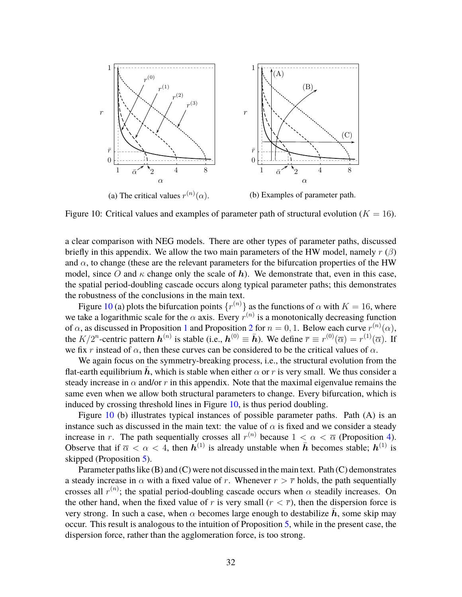

Figure 10: Critical values and examples of parameter path of structural evolution  $(K = 16)$ .

a clear comparison with NEG models. There are other types of parameter paths, discussed briefly in this appendix. We allow the two main parameters of the HW model, namely *r* (*β*) and  $\alpha$ , to change (these are the relevant parameters for the bifurcation properties of the HW model, since O and  $\kappa$  change only the scale of h). We demonstrate that, even in this case, the spatial period-doubling cascade occurs along typical parameter paths; this demonstrates the robustness of the conclusions in the main text.

Figure 10 (a) plots the bifurcation points  $\{r^{(n)}\}$  as the functions of  $\alpha$  with  $K = 16$ , where we take a logarithmic scale for the  $\alpha$  axis. Every  $r^{(n)}$  is a monotonically decreasing function of  $\alpha$ , as discussed in Proposition 1 and Proposition 2 for  $n = 0, 1$ . Below each curve  $r^{(n)}(\alpha)$ , the  $K/2^n$ -centric pattern  $h^{(n)}$  is stable (i.e.,  $h^{(0)} \equiv \bar{h}$ ). We define  $\bar{r} \equiv r^{(0)}(\bar{\alpha}) = r^{(1)}(\bar{\alpha})$ . If we fix *r* instead of  $\alpha$ , then these curves can be considered to be the critical values of  $\alpha$ .

We again focus on the symmetry-breaking process, i.e., the structural evolution from the flat-earth equilibrium  $\bar{h}$ , which is stable when either  $\alpha$  or  $r$  is very small. We thus consider a steady increase in  $\alpha$  and/or r in this appendix. Note that the maximal eigenvalue remains the same even when we allow both structural parameters to change. Every bifurcation, which is induced by crossing threshold lines in Figure 10, is thus period doubling.

Figure 10 (b) illustrates typical instances of possible parameter paths. Path (A) is an instance such as discussed in the main text: the value of  $\alpha$  is fixed and we consider a steady increase in *r*. The path sequentially crosses all  $r^{(n)}$  because  $1 < \alpha < \overline{\alpha}$  (Proposition 4). Observe that if  $\overline{\alpha} < \alpha < 4$ , then  $h^{(1)}$  is already unstable when  $\overline{h}$  becomes stable;  $h^{(1)}$  is skipped (Proposition 5).

Parameter paths like (B) and (C) were not discussed in the main text. Path (C) demonstrates a steady increase in  $\alpha$  with a fixed value of *r*. Whenever  $r > \overline{r}$  holds, the path sequentially crosses all  $r^{(n)}$ ; the spatial period-doubling cascade occurs when  $\alpha$  steadily increases. On the other hand, when the fixed value of *r* is very small  $(r < \overline{r})$ , then the dispersion force is very strong. In such a case, when  $\alpha$  becomes large enough to destabilize h, some skip may occur. This result is analogous to the intuition of Proposition 5, while in the present case, the dispersion force, rather than the agglomeration force, is too strong.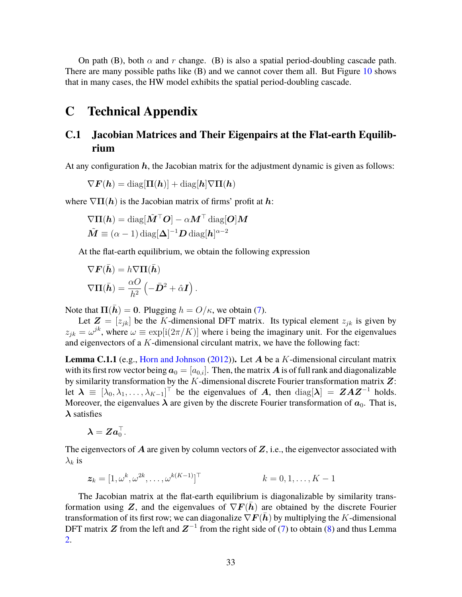On path (B), both  $\alpha$  and  $r$  change. (B) is also a spatial period-doubling cascade path. There are many possible paths like (B) and we cannot cover them all. But Figure 10 shows that in many cases, the HW model exhibits the spatial period-doubling cascade.

# **C Technical Appendix**

### **C.1 Jacobian Matrices and Their Eigenpairs at the Flat-earth Equilibrium**

At any configuration  $h$ , the Jacobian matrix for the adjustment dynamic is given as follows:

$$
\nabla \bm{F}(\bm{h}) = \text{diag}[\bm{\Pi}(\bm{h})] + \text{diag}[\bm{h}]\nabla \bm{\Pi}(\bm{h})
$$

where  $\nabla \Pi(h)$  is the Jacobian matrix of firms' profit at h:

$$
\nabla \Pi(\boldsymbol{h}) = \text{diag}[\tilde{\boldsymbol{M}}^\top \boldsymbol{O}] - \alpha \boldsymbol{M}^\top \text{diag}[\boldsymbol{O}] \boldsymbol{M}
$$

$$
\tilde{\boldsymbol{M}} \equiv (\alpha - 1) \text{diag}[\boldsymbol{\Delta}]^{-1} \boldsymbol{D} \text{diag}[\boldsymbol{h}]^{\alpha - 2}
$$

At the flat-earth equilibrium, we obtain the following expression

*.*

$$
\nabla \mathbf{F}(\bar{\mathbf{h}}) = h \nabla \Pi(\bar{\mathbf{h}})
$$

$$
\nabla \Pi(\bar{\mathbf{h}}) = \frac{\alpha O}{h^2} \left( -\bar{\mathbf{D}}^2 + \hat{\alpha} \mathbf{I} \right)
$$

Note that  $\Pi(\bar{h}) = 0$ . Plugging  $h = O/\kappa$ , we obtain (7).

Let  $\mathbf{Z} = [z_{jk}]$  be the *K*-dimensional DFT matrix. Its typical element  $z_{jk}$  is given by  $z_{jk} = \omega^{jk}$ , where  $\omega \equiv \exp[i(2\pi/K)]$  where i being the imaginary unit. For the eigenvalues and eigenvectors of a *K*-dimensional circulant matrix, we have the following fact:

**Lemma C.1.1** (e.g., Horn and Johnson (2012))**.** Let A be a *K*-dimensional circulant matrix with its first row vector being  $a_0 = [a_{0,i}]$ . Then, the matrix A is of full rank and diagonalizable by similarity transformation by the *K*-dimensional discrete Fourier transformation matrix Z: let  $\lambda = [\lambda_0, \lambda_1, \dots, \lambda_{K-1}]^\top$  be the eigenvalues of A, then  $diag[\lambda] = ZAZ^{-1}$  holds. Moreover, the eigenvalues  $\lambda$  are given by the discrete Fourier transformation of  $a_0$ . That is,  $\lambda$  satisfies

$$
\boldsymbol{\lambda} = \boldsymbol{Z} \boldsymbol{a}_0^\top.
$$

The eigenvectors of  $A$  are given by column vectors of  $Z$ , i.e., the eigenvector associated with  $λ_k$  is

$$
\boldsymbol{z}_k = [1, \omega^k, \omega^{2k}, \dots, \omega^{k(K-1)}]^\top \qquad k = 0, 1, \dots, K-1
$$

The Jacobian matrix at the flat-earth equilibrium is diagonalizable by similarity transformation using Z, and the eigenvalues of  $\nabla F(h)$  are obtained by the discrete Fourier transformation of its first row; we can diagonalize  $\nabla F(\bar{h})$  by multiplying the *K*-dimensional DFT matrix Z from the left and  $Z^{-1}$  from the right side of (7) to obtain (8) and thus Lemma 2.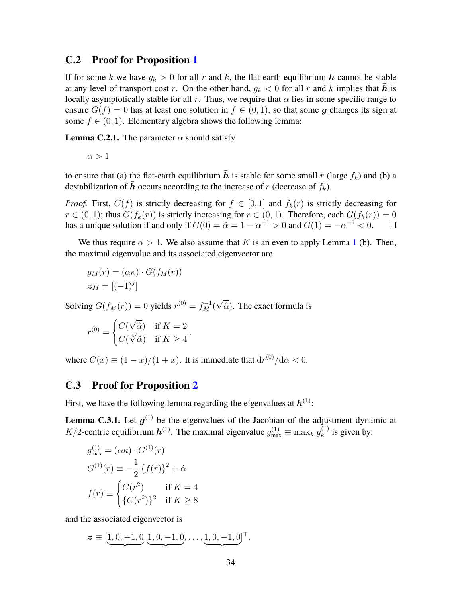#### **C.2 Proof for Proposition 1**

If for some *k* we have  $g_k > 0$  for all *r* and *k*, the flat-earth equilibrium  $\bar{h}$  cannot be stable at any level of transport cost *r*. On the other hand,  $q_k < 0$  for all *r* and *k* implies that *h* is locally asymptotically stable for all  $r$ . Thus, we require that  $\alpha$  lies in some specific range to ensure  $G(f) = 0$  has at least one solution in  $f \in (0, 1)$ , so that some g changes its sign at some  $f \in (0, 1)$ . Elementary algebra shows the following lemma:

**Lemma C.2.1.** The parameter  $\alpha$  should satisfy

 $\alpha > 1$ 

to ensure that (a) the flat-earth equilibrium  $\bar{h}$  is stable for some small *r* (large  $f_k$ ) and (b) a destabilization of  $\bar{h}$  occurs according to the increase of *r* (decrease of  $f_k$ ).

*Proof.* First,  $G(f)$  is strictly decreasing for  $f \in [0, 1]$  and  $f_k(r)$  is strictly decreasing for *r* ∈ (0, 1); thus *G*(*f<sub>k</sub>*(*r*)) is strictly increasing for *r* ∈ (0, 1). Therefore, each *G*(*f<sub>k</sub>*(*r*)) = 0 has a unique solution if and only if *G*(0) =  $\hat{\alpha}$  = 1 −  $\alpha^{-1}$  > 0 and *G*(1) = − $\alpha^{-1}$  < 0. □ has a unique solution if and only if  $G(0) = \hat{\alpha} = 1 - \alpha^{-1} > 0$  and  $G(1) = -\alpha^{-1} < 0$ .

We thus require  $\alpha > 1$ . We also assume that *K* is an even to apply Lemma 1 (b). Then, the maximal eigenvalue and its associated eigenvector are

$$
g_M(r) = (\alpha \kappa) \cdot G(f_M(r))
$$
  

$$
\boldsymbol{z}_M = [(-1)^j]
$$

Solving  $G(f_M(r)) = 0$  yields  $r^{(0)} = f_M^{-1}(\sqrt{\hat{\alpha}})$ . The exact formula is

*.*

$$
r^{(0)} = \begin{cases} C(\sqrt{\hat{\alpha}}) & \text{if } K = 2\\ C(\sqrt[4]{\hat{\alpha}}) & \text{if } K \ge 4 \end{cases}
$$

where  $C(x) \equiv (1-x)/(1+x)$ . It is immediate that  $dr^{(0)}/d\alpha < 0$ .

#### **C.3 Proof for Proposition 2**

First, we have the following lemma regarding the eigenvalues at  $h^{(1)}$ :

**Lemma C.3.1.** Let  $g^{(1)}$  be the eigenvalues of the Jacobian of the adjustment dynamic at *K*/2-centric equilibrium  $h^{(1)}$ . The maximal eigenvalue  $g_{\text{max}}^{(1)} \equiv \max_k g_k^{(1)}$  $k^{(1)}$  is given by:

$$
g_{\text{max}}^{(1)} = (\alpha \kappa) \cdot G^{(1)}(r)
$$
  
\n
$$
G^{(1)}(r) \equiv -\frac{1}{2} \{f(r)\}^2 + \hat{\alpha}
$$
  
\n
$$
f(r) \equiv \begin{cases} C(r^2) & \text{if } K = 4\\ \{C(r^2)\}^2 & \text{if } K \ge 8 \end{cases}
$$

and the associated eigenvector is

 $z \equiv [\underline{1, 0, -1, 0}]$  $\overline{\phantom{a}}$ *,* 1*,* 0*,* −1*,* 0  $\overline{\phantom{a}}$ *,* . . . , <u>1</u>, 0, −1, 0  $\overline{\phantom{a}}$ ] ⊤ *.*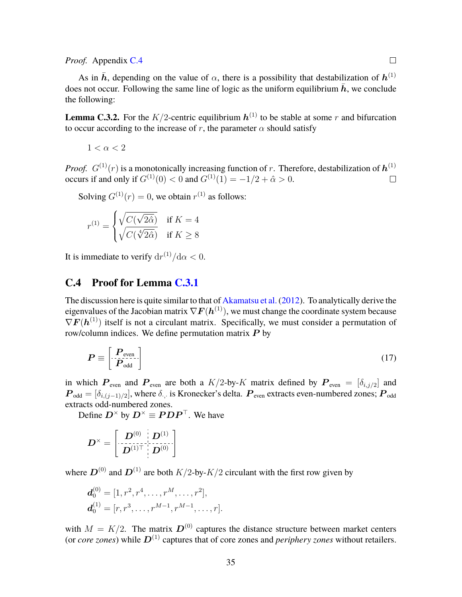#### *Proof.* Appendix C.4

As in  $\bar{h}$ , depending on the value of  $\alpha$ , there is a possibility that destabilization of  $h^{(1)}$ does not occur. Following the same line of logic as the uniform equilibrium  $\bar{h}$ , we conclude the following:

**Lemma C.3.2.** For the  $K/2$ -centric equilibrium  $h^{(1)}$  to be stable at some r and bifurcation to occur according to the increase of  $r$ , the parameter  $\alpha$  should satisfy

$$
1<\alpha<2
$$

*Proof.*  $G^{(1)}(r)$  is a monotonically increasing function of *r*. Therefore, destabilization of  $h^{(1)}$ occurs if and only if  $G^{(1)}(0) < 0$  and  $G^{(1)}(1) = -1/2 + \hat{\alpha} > 0$ .  $\Box$ 

Solving  $G^{(1)}(r) = 0$ , we obtain  $r^{(1)}$  as follows:

$$
r^{(1)} = \begin{cases} \sqrt{C(\sqrt{2\hat{\alpha}})} & \text{if } K = 4\\ \sqrt{C(\sqrt[4]{2\hat{\alpha}})} & \text{if } K \ge 8 \end{cases}
$$

It is immediate to verify  $dr^{(1)}/d\alpha < 0$ .

#### **C.4 Proof for Lemma C.3.1**

The discussion here is quite similar to that of Akamatsu et al.(2012). To analytically derive the eigenvalues of the Jacobian matrix  $\nabla \mathbf{F}(\mathbf{h}^{(1)})$ , we must change the coordinate system because  $\nabla F(h^{(1)})$  itself is not a circulant matrix. Specifically, we must consider a permutation of row/column indices. We define permutation matrix  $P$  by

$$
P \equiv \left[ \frac{P_{\text{even}}}{P_{\text{odd}}} \right] \tag{17}
$$

in which  $P_{even}$  and  $P_{even}$  are both a  $K/2$ -by- $K$  matrix defined by  $P_{even} = [\delta_{i,j/2}]$  and  $\bm P_{\rm odd}=[\delta_{i,(j-1)/2}],$  where  $\delta_{\cdot,\cdot}$  is Kronecker's delta.  $\bm P_{\rm even}$  extracts even-numbered zones;  $\bm P_{\rm odd}$ extracts odd-numbered zones.

Define  $D^{\times}$  by  $D^{\times} \equiv PDP^{\top}$ . We have

$$
\boldsymbol{D}^{\times}=\left[\begin{array}{c|c} \boldsymbol{D}^{(0)} & \boldsymbol{D}^{(1)} \\ \hline \boldsymbol{D}^{(1)\top} & \boldsymbol{D}^{(0)} \end{array}\right]
$$

where  $D^{(0)}$  and  $D^{(1)}$  are both  $K/2$ -by- $K/2$  circulant with the first row given by

$$
\mathbf{d}_0^{(0)} = [1, r^2, r^4, \dots, r^M, \dots, r^2],
$$
  

$$
\mathbf{d}_0^{(1)} = [r, r^3, \dots, r^{M-1}, r^{M-1}, \dots, r].
$$

with  $M = K/2$ . The matrix  $\mathbf{D}^{(0)}$  captures the distance structure between market centers (or *core zones*) while  $D^{(1)}$  captures that of core zones and *periphery zones* without retailers.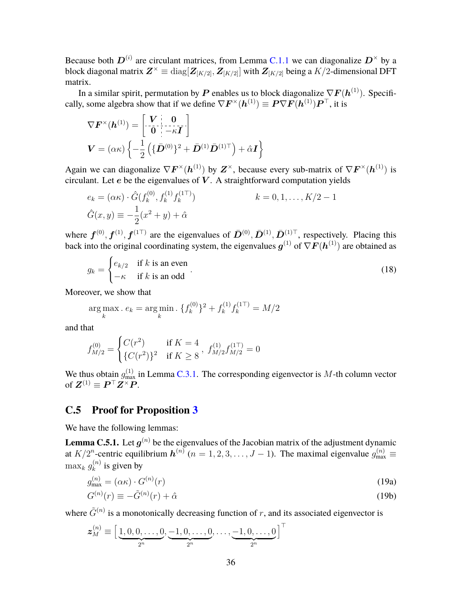Because both  $D^{(i)}$  are circulant matrices, from Lemma C.1.1 we can diagonalize  $D^{\times}$  by a block diagonal matrix  $\bm{Z}^{\times} \equiv {\rm diag}[\bm{Z}_{[K/2]},\bm{Z}_{[K/2]}]$  with  $\bm{Z}_{[K/2]}$  being a  $K/2$ -dimensional DFT matrix.

In a similar spirit, permutation by P enables us to block diagonalize  $\nabla F(h^{(1)})$ . Specifically, some algebra show that if we define  $\nabla \bm{F}^{\times}(\bm{h}^{(1)}) \equiv \bm{P} \nabla \bm{F}(\bm{h}^{(1)}) \bm{P}^{\top}$ , it is

$$
\nabla \boldsymbol{F}^{\times}(\boldsymbol{h}^{(1)}) = \begin{bmatrix} \boldsymbol{V} & \mathbf{0} \\ \mathbf{0} & -\kappa \boldsymbol{I} \end{bmatrix}
$$

$$
\boldsymbol{V} = (\alpha \kappa) \left\{ -\frac{1}{2} \left( \{ \bar{\boldsymbol{D}}^{(0)} \}^2 + \bar{\boldsymbol{D}}^{(1)} \bar{\boldsymbol{D}}^{(1)\top} \right) + \hat{\alpha} \boldsymbol{I} \right\}
$$

Again we can diagonalize  $\nabla F^{\times}(h^{(1)})$  by  $Z^{\times}$ , because every sub-matrix of  $\nabla F^{\times}(h^{(1)})$  is circulant. Let  $e$  be the eigenvalues of  $V$ . A straightforward computation yields

$$
e_k = (\alpha \kappa) \cdot \hat{G}(f_k^{(0)}, f_k^{(1)} f_k^{(1\top)})
$$
  
\n
$$
\hat{G}(x, y) \equiv -\frac{1}{2}(x^2 + y) + \hat{\alpha}
$$
  
\n
$$
k = 0, 1, ..., K/2 - 1
$$

where  $f^{(0)}, f^{(1)}, f^{(1\top)}$  are the eigenvalues of  $\bar{D}^{(0)}, \bar{D}^{(1)}, \bar{D}^{(1)\top}$ , respectively. Placing this back into the original coordinating system, the eigenvalues  $\bm{g}^{(1)}$  of  $\nabla \bm{F}(\bm{h}^{(1)})$  are obtained as

$$
g_k = \begin{cases} e_{k/2} & \text{if } k \text{ is an even} \\ -\kappa & \text{if } k \text{ is an odd} \end{cases} .
$$
 (18)

Moreover, we show that

$$
\underset{k}{\arg \max} . e_k = \underset{k}{\arg \min} . \{ f_k^{(0)} \}^2 + f_k^{(1)} f_k^{(1)} = M/2
$$

and that

$$
f_{M/2}^{(0)} = \begin{cases} C(r^2) & \text{if } K = 4 \\ \{C(r^2)\}^2 & \text{if } K \ge 8 \end{cases}, f_{M/2}^{(1)} f_{M/2}^{(1)} = 0
$$

We thus obtain  $g_{\text{max}}^{(1)}$  in Lemma C.3.1. The corresponding eigenvector is M-th column vector of  $\mathbf{Z}^{(1)} \equiv \mathbf{P}^\top \mathbf{Z}^\times \mathbf{P}$ .

#### **C.5 Proof for Proposition 3**

We have the following lemmas:

**Lemma C.5.1.** Let  $g^{(n)}$  be the eigenvalues of the Jacobian matrix of the adjustment dynamic at  $K/2^n$ -centric equilibrium  $h^{(n)}$  ( $n = 1, 2, 3, \ldots, J-1$ ). The maximal eigenvalue  $g^{(n)}_{\text{max}} \equiv$  $\max_k g_k^{(n)}$  $k^{(n)}_k$  is given by

$$
g_{\text{max}}^{(n)} = (\alpha \kappa) \cdot G^{(n)}(r) \tag{19a}
$$

$$
G^{(n)}(r) \equiv -\tilde{G}^{(n)}(r) + \hat{\alpha} \tag{19b}
$$

where  $\tilde{G}^{(n)}$  is a monotonically decreasing function of *r*, and its associated eigenvector is

$$
\boldsymbol{z}_{M}^{(n)} \equiv \left[\underbrace{1,0,0,\ldots,0}_{2^{n}},\underbrace{-1,0,\ldots,0}_{2^{n}},\ldots,\underbrace{-1,0,\ldots,0}_{2^{n}}\right]^{\top}
$$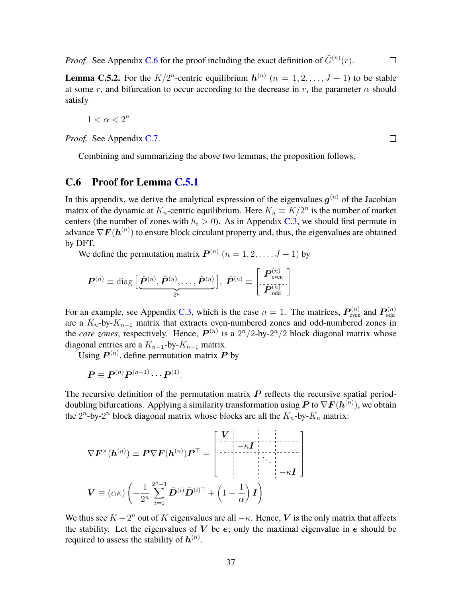*Proof.* See Appendix C.6 for the proof including the exact definition of  $\tilde{G}^{(n)}(r)$ .  $\Box$ 

**Lemma C.5.2.** For the  $K/2^n$ -centric equilibrium  $h^{(n)}$   $(n = 1, 2, ..., J - 1)$  to be stable at some *r*, and bifurcation to occur according to the decrease in *r*, the parameter  $\alpha$  should satisfy

$$
1<\alpha<2^n
$$

*Proof.* See Appendix C.7.

Combining and summarizing the above two lemmas, the proposition follows.

#### **C.6 Proof for Lemma C.5.1**

In this appendix, we derive the analytical expression of the eigenvalues  $g^{(n)}$  of the Jacobian matrix of the dynamic at  $K_n$ -centric equilibrium. Here  $K_n \equiv K/2^n$  is the number of market centers (the number of zones with  $h_i > 0$ ). As in Appendix C.3, we should first permute in advance  $\nabla \boldsymbol{F}(\boldsymbol{h}^{(n)})$  to ensure block circulant property and, thus, the eigenvalues are obtained by DFT.

We define the permutation matrix  $P^{(n)}$   $(n = 1, 2, ..., J - 1)$  by

$$
\boldsymbol{P}^{(n)}\equiv \mathrm{diag}\Big[\underbrace{\boldsymbol{\hat{P}}^{(n)},\boldsymbol{\hat{P}}^{(n)},\ldots,\boldsymbol{\hat{P}}^{(n)}}_{2^n}\Big],~\boldsymbol{\hat{P}}^{(n)}\equiv \begin{bmatrix}\boldsymbol{P}_{\mathrm{even}}^{(n)} \\ \vdots \\ \boldsymbol{P}_{\mathrm{odd}}^{(n)}\end{bmatrix}
$$

For an example, see Appendix C.3, which is the case  $n = 1$ . The matrices,  $P_{\text{even}}^{(n)}$  and  $P_{\text{odd}}^{(n)}$ are a *Kn*-by-*Kn*−<sup>1</sup> matrix that extracts even-numbered zones and odd-numbered zones in the *core zones*, respectively. Hence,  $P^{(n)}$  is a  $2^n/2$ -by- $2^n/2$  block diagonal matrix whose diagonal entries are a  $K_{n-1}$ -by- $K_{n-1}$  matrix.

Using  $P^{(n)}$ , define permutation matrix  $P$  by

$$
\boldsymbol{P} \equiv \boldsymbol{P}^{(n)} \boldsymbol{P}^{(n-1)} \cdots \boldsymbol{P}^{(1)}.
$$

The recursive definition of the permutation matrix  $P$  reflects the recursive spatial perioddoubling bifurcations. Applying a similarity transformation using  $P$  to  $\nabla F(\boldsymbol{h}^{(n)})$ , we obtain the  $2^n$ -by- $2^n$  block diagonal matrix whose blocks are all the  $K_n$ -by- $K_n$  matrix:

$$
\nabla \boldsymbol{F}^{\times}(\boldsymbol{h}^{(n)}) \equiv \boldsymbol{P} \nabla \boldsymbol{F}(\boldsymbol{h}^{(n)}) \boldsymbol{P}^{\top} = \begin{bmatrix} \boldsymbol{V} \\ -\kappa \boldsymbol{I} \\ \vdots \\ -\kappa \boldsymbol{I} \end{bmatrix}
$$

$$
\boldsymbol{V} \equiv (\alpha \kappa) \left( -\frac{1}{2^{n}} \sum_{i=0}^{2^{n}-1} \bar{\boldsymbol{D}}^{(i)} \bar{\boldsymbol{D}}^{(i)\top} + \left( 1 - \frac{1}{\alpha} \right) \boldsymbol{I} \right)
$$

We thus see  $K - 2^n$  out of  $K$  eigenvalues are all  $-\kappa$ . Hence, V is the only matrix that affects the stability. Let the eigenvalues of  $V$  be  $e$ ; only the maximal eigenvalue in  $e$  should be required to assess the stability of  $\boldsymbol{h}^{(n)}.$ 

 $\Box$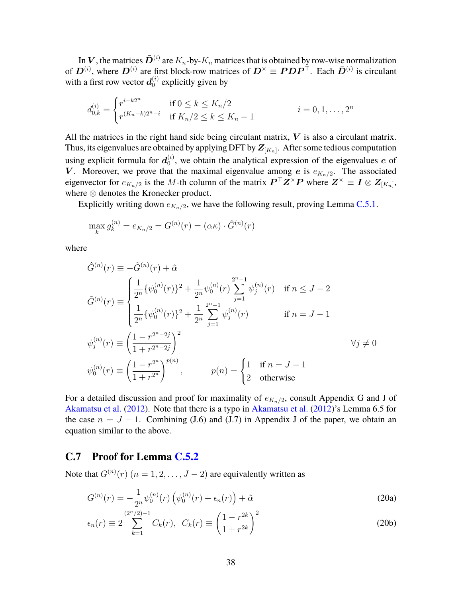In  $\bm{V},$  the matrices  $\bar{\bm{D}}^{(i)}$  are  $K_n$ -by- $K_n$  matrices that is obtained by row-wise normalization of  $D^{(i)}$ , where  $D^{(i)}$  are first block-row matrices of  $D^{\times} \equiv PDP^{\top}$ . Each  $\bar{D}^{(i)}$  is circulant with a first row vector  $\boldsymbol{d}_{0}^{\left(i\right)}$  explicitly given by

$$
d_{0,k}^{(i)} = \begin{cases} r^{i+k2^n} & \text{if } 0 \le k \le K_n/2\\ r^{(K_n-k)2^n - i} & \text{if } K_n/2 \le k \le K_n - 1 \end{cases} \qquad i = 0, 1, \dots, 2^n
$$

All the matrices in the right hand side being circulant matrix,  $V$  is also a circulant matrix. Thus, its eigenvalues are obtained by applying DFT by  $\mathbf{Z}_{[K_n]}$ . After some tedious computation using explicit formula for  $\boldsymbol{d}_{0}^{\left(i\right)}$  $\binom{1}{0}$ , we obtain the analytical expression of the eigenvalues e of V. Moreover, we prove that the maximal eigenvalue among e is  $e_{K_n/2}$ . The associated eigenvector for  $e_{K_n/2}$  is the *M*-th column of the matrix  $P^{\top}Z^{\times}P$  where  $Z^{\times} \equiv I \otimes Z_{[K_n]}$ , where ⊗ denotes the Kronecker product.

Explicitly writing down  $e_{K_n/2}$ , we have the following result, proving Lemma C.5.1.

$$
\max_{k} g_{k}^{(n)} = e_{K_n/2} = G^{(n)}(r) = (\alpha \kappa) \cdot \hat{G}^{(n)}(r)
$$

where

$$
\hat{G}^{(n)}(r) \equiv -\tilde{G}^{(n)}(r) + \hat{\alpha}
$$
\n
$$
\tilde{G}^{(n)}(r) \equiv \begin{cases}\n\frac{1}{2^n} \{\psi_0^{(n)}(r)\}^2 + \frac{1}{2^n} \psi_0^{(n)}(r) \sum_{j=1}^{2^n - 1} \psi_j^{(n)}(r) & \text{if } n \le J - 2 \\
\frac{1}{2^n} \{\psi_0^{(n)}(r)\}^2 + \frac{1}{2^n} \sum_{j=1}^{2^n - 1} \psi_j^{(n)}(r) & \text{if } n = J - 1\n\end{cases}
$$
\n
$$
\psi_j^{(n)}(r) \equiv \left(\frac{1 - r^{2^n - 2j}}{1 + r^{2^n - 2j}}\right)^2 \qquad \forall j \ne 0
$$
\n
$$
\psi_0^{(n)}(r) \equiv \left(\frac{1 - r^{2^n}}{1 + r^{2^n}}\right)^{p(n)}, \qquad p(n) = \begin{cases}\n1 & \text{if } n = J - 1 \\
2 & \text{otherwise}\n\end{cases}
$$

For a detailed discussion and proof for maximality of  $e_{K_n/2}$ , consult Appendix G and J of Akamatsu et al. (2012). Note that there is a typo in Akamatsu et al. (2012)'s Lemma 6.5 for the case  $n = J - 1$ . Combining (J.6) and (J.7) in Appendix J of the paper, we obtain an equation similar to the above.

#### **C.7 Proof for Lemma C.5.2**

Note that  $G^{(n)}(r)$   $(n = 1, 2, \ldots, J - 2)$  are equivalently written as

$$
G^{(n)}(r) = -\frac{1}{2^n} \psi_0^{(n)}(r) \left( \psi_0^{(n)}(r) + \epsilon_n(r) \right) + \hat{\alpha}
$$
 (20a)

$$
\epsilon_n(r) \equiv 2 \sum_{k=1}^{(2^n/2)-1} C_k(r), \ \ C_k(r) \equiv \left(\frac{1-r^{2k}}{1+r^{2k}}\right)^2 \tag{20b}
$$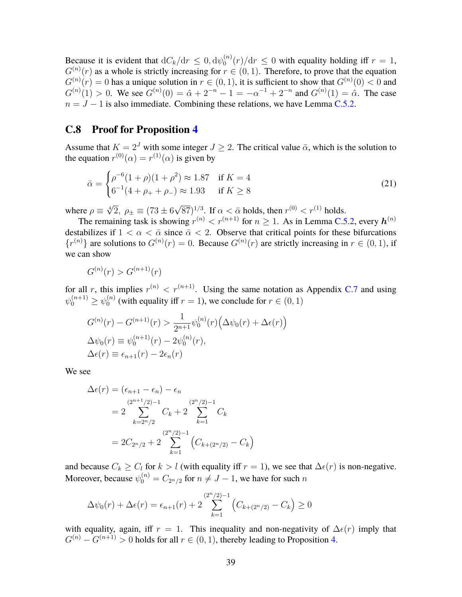Because it is evident that  $dC_k/dr \leq 0, d\psi_0^{(n)}$  $\int_0^{(n)} (r) / dr \leq 0$  with equality holding iff  $r = 1$ ,  $G^{(n)}(r)$  as a whole is strictly increasing for  $r \in (0, 1)$ . Therefore, to prove that the equation  $G^{(n)}(r) = 0$  has a unique solution in  $r \in (0, 1)$ , it is sufficient to show that  $G^{(n)}(0) < 0$  and  $G^{(n)}(1) > 0$ . We see  $G^{(n)}(0) = \hat{\alpha} + 2^{-n} - 1 = -\alpha^{-1} + 2^{-n}$  and  $G^{(n)}(1) = \hat{\alpha}$ . The case  $n = J - 1$  is also immediate. Combining these relations, we have Lemma C.5.2.

#### **C.8 Proof for Proposition 4**

Assume that  $K = 2<sup>J</sup>$  with some integer  $J \ge 2$ . The critical value  $\bar{\alpha}$ , which is the solution to the equation  $r^{(0)}(\alpha) = r^{(1)}(\alpha)$  is given by

$$
\bar{\alpha} = \begin{cases} \rho^{-6}(1+\rho)(1+\rho^2) \approx 1.87 & \text{if } K = 4\\ 6^{-1}(4+\rho_+ + \rho_-) \approx 1.93 & \text{if } K \ge 8 \end{cases}
$$
 (21)

where  $\rho \equiv \sqrt[4]{2}$ ,  $\rho_{\pm} \equiv (73 \pm 6\sqrt{87})^{1/3}$ . If  $\alpha < \bar{\alpha}$  holds, then  $r^{(0)} < r^{(1)}$  holds.

The remaining task is showing  $r^{(n)} < r^{(n+1)}$  for  $n \ge 1$ . As in Lemma C.5.2, every  $h^{(n)}$ destabilizes if  $1 < \alpha < \bar{\alpha}$  since  $\bar{\alpha} < 2$ . Observe that critical points for these bifurcations  ${r^{(n)}}$  are solutions to  $G^{(n)}(r) = 0$ . Because  $G^{(n)}(r)$  are strictly increasing in  $r \in (0, 1)$ , if we can show

$$
G^{(n)}(r) > G^{(n+1)}(r)
$$

for all *r*, this implies  $r^{(n)} < r^{(n+1)}$ . Using the same notation as Appendix C.7 and using  $\psi_0^{(n+1)} \geq \psi_0^{(n)}$  $\binom{n}{0}$  (with equality iff  $r = 1$ ), we conclude for  $r \in (0, 1)$ 

$$
G^{(n)}(r) - G^{(n+1)}(r) > \frac{1}{2^{n+1}} \psi_0^{(n)}(r) \left( \Delta \psi_0(r) + \Delta \epsilon(r) \right)
$$
\n
$$
\Delta \psi_0(r) \equiv \psi_0^{(n+1)}(r) - 2\psi_0^{(n)}(r),
$$
\n
$$
\Delta \epsilon(r) \equiv \epsilon_{n+1}(r) - 2\epsilon_n(r)
$$

We see

$$
\Delta \epsilon(r) = (\epsilon_{n+1} - \epsilon_n) - \epsilon_n
$$
  
=  $2 \sum_{k=2^n/2}^{(2^{n+1}/2)-1} C_k + 2 \sum_{k=1}^{(2^n/2)-1} C_k$   
=  $2C_{2^n/2} + 2 \sum_{k=1}^{(2^n/2)-1} (C_{k+(2^n/2)} - C_k)$ 

and because  $C_k \geq C_l$  for  $k > l$  (with equality iff  $r = 1$ ), we see that  $\Delta \epsilon(r)$  is non-negative. Moreover, because  $\psi_0^{(n)} = C_{2^n/2}$  for  $n \neq J-1$ , we have for such *n* 

$$
\Delta\psi_0(r) + \Delta\epsilon(r) = \epsilon_{n+1}(r) + 2\sum_{k=1}^{(2^n/2)-1} \left( C_{k+(2^n/2)} - C_k \right) \ge 0
$$

with equality, again, iff  $r = 1$ . This inequality and non-negativity of  $\Delta \epsilon(r)$  imply that  $G^{(n)} - G^{(n+1)} > 0$  holds for all  $r \in (0, 1)$ , thereby leading to Proposition 4.